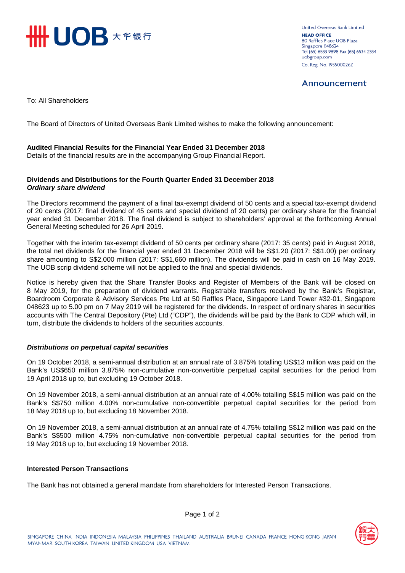

United Overseas Bank Limited **HEAD OFFICE** 80 Raffles Place UOB Plaza Singapore 048624 Tel (65) 6533 9898 Fax (65) 6534 2334 uobgroup.com Co. Reg. No. 193500026Z

## Announcement

To: All Shareholders

The Board of Directors of United Overseas Bank Limited wishes to make the following announcement:

### **Audited Financial Results for the Financial Year Ended 31 December 2018**

Details of the financial results are in the accompanying Group Financial Report.

### **Dividends and Distributions for the Fourth Quarter Ended 31 December 2018** *Ordinary share dividend*

The Directors recommend the payment of a final tax-exempt dividend of 50 cents and a special tax-exempt dividend of 20 cents (2017: final dividend of 45 cents and special dividend of 20 cents) per ordinary share for the financial year ended 31 December 2018. The final dividend is subject to shareholders' approval at the forthcoming Annual General Meeting scheduled for 26 April 2019.

Together with the interim tax-exempt dividend of 50 cents per ordinary share (2017: 35 cents) paid in August 2018, the total net dividends for the financial year ended 31 December 2018 will be S\$1.20 (2017: S\$1.00) per ordinary share amounting to S\$2,000 million (2017: S\$1,660 million). The dividends will be paid in cash on 16 May 2019. The UOB scrip dividend scheme will not be applied to the final and special dividends.

Notice is hereby given that the Share Transfer Books and Register of Members of the Bank will be closed on 8 May 2019, for the preparation of dividend warrants. Registrable transfers received by the Bank's Registrar, Boardroom Corporate & Advisory Services Pte Ltd at 50 Raffles Place, Singapore Land Tower #32-01, Singapore 048623 up to 5.00 pm on 7 May 2019 will be registered for the dividends. In respect of ordinary shares in securities accounts with The Central Depository (Pte) Ltd ("CDP"), the dividends will be paid by the Bank to CDP which will, in turn, distribute the dividends to holders of the securities accounts.

## *Distributions on perpetual capital securities*

On 19 October 2018, a semi-annual distribution at an annual rate of 3.875% totalling US\$13 million was paid on the Bank's US\$650 million 3.875% non-cumulative non-convertible perpetual capital securities for the period from 19 April 2018 up to, but excluding 19 October 2018.

On 19 November 2018, a semi-annual distribution at an annual rate of 4.00% totalling S\$15 million was paid on the Bank's S\$750 million 4.00% non-cumulative non-convertible perpetual capital securities for the period from 18 May 2018 up to, but excluding 18 November 2018.

On 19 November 2018, a semi-annual distribution at an annual rate of 4.75% totalling S\$12 million was paid on the Bank's S\$500 million 4.75% non-cumulative non-convertible perpetual capital securities for the period from 19 May 2018 up to, but excluding 19 November 2018.

### **Interested Person Transactions**

The Bank has not obtained a general mandate from shareholders for Interested Person Transactions.

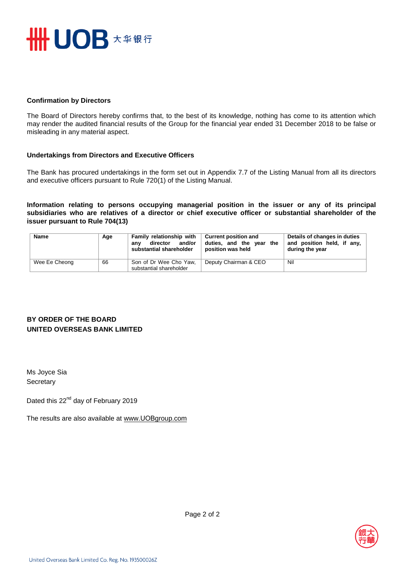

### **Confirmation by Directors**

The Board of Directors hereby confirms that, to the best of its knowledge, nothing has come to its attention which may render the audited financial results of the Group for the financial year ended 31 December 2018 to be false or misleading in any material aspect.

### **Undertakings from Directors and Executive Officers**

The Bank has procured undertakings in the form set out in Appendix 7.7 of the Listing Manual from all its directors and executive officers pursuant to Rule 720(1) of the Listing Manual.

**Information relating to persons occupying managerial position in the issuer or any of its principal subsidiaries who are relatives of a director or chief executive officer or substantial shareholder of the issuer pursuant to Rule 704(13)**

| <b>Name</b>   | Age | Family relationship with<br>and/or<br>director<br>anv<br>substantial shareholder | Current position and<br>duties, and the vear the<br>position was held | Details of changes in duties<br>and position held, if any,<br>during the year |
|---------------|-----|----------------------------------------------------------------------------------|-----------------------------------------------------------------------|-------------------------------------------------------------------------------|
| Wee Ee Cheong | 66  | Son of Dr Wee Cho Yaw,<br>substantial shareholder                                | Deputy Chairman & CEO                                                 | Nil                                                                           |

## **BY ORDER OF THE BOARD UNITED OVERSEAS BANK LIMITED**

Ms Joyce Sia **Secretary** 

Dated this 22<sup>nd</sup> day of February 2019

The results are also available at www.UOB[group.com](http://www.uobgroup.com/)

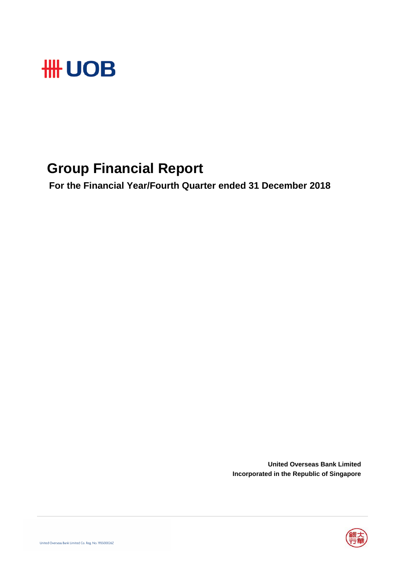

# **Group Financial Report**

 **For the Financial Year/Fourth Quarter ended 31 December 2018**

**United Overseas Bank Limited Incorporated in the Republic of Singapore**

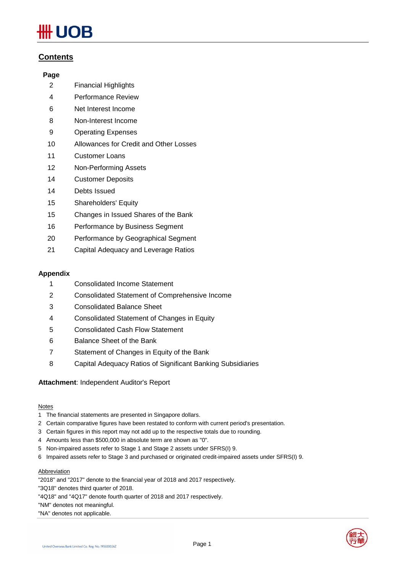# JOB

## **Contents**

## **Page**

- 2 Financial Highlights
- 4 Performance Review
- 6 Net Interest Income
- 8 Non-Interest Income
- 9 Operating Expenses
- 10 Allowances for Credit and Other Losses
- 11 Customer Loans
- 12 Non-Performing Assets
- 14 Customer Deposits
- 14 Debts Issued
- 15 Shareholders' Equity
- 15 Changes in Issued Shares of the Bank
- 16 Performance by Business Segment
- 20 Performance by Geographical Segment
- 21 Capital Adequacy and Leverage Ratios

## **Appendix**

- 1 Consolidated Income Statement
- 2 Consolidated Statement of Comprehensive Income
- 3 Consolidated Balance Sheet
- 4 Consolidated Statement of Changes in Equity
- 5 Consolidated Cash Flow Statement
- 6 Balance Sheet of the Bank
- 7 Statement of Changes in Equity of the Bank
- 8 Capital Adequacy Ratios of Significant Banking Subsidiaries

## **Attachment**: Independent Auditor's Report

### Notes

- 1 The financial statements are presented in Singapore dollars.
- 2 Certain comparative figures have been restated to conform with current period's presentation.
- 3 Certain figures in this report may not add up to the respective totals due to rounding.
- 4 Amounts less than \$500,000 in absolute term are shown as "0".
- 5 Non-impaired assets refer to Stage 1 and Stage 2 assets under SFRS(I) 9.
- 6 Impaired assets refer to Stage 3 and purchased or originated credit-impaired assets under SFRS(I) 9.

### **Abbreviation**

"2018" and "2017" denote to the financial year of 2018 and 2017 respectively.

- "3Q18" denotes third quarter of 2018.
- "4Q18" and "4Q17" denote fourth quarter of 2018 and 2017 respectively.

"NM" denotes not meaningful.

"NA" denotes not applicable.

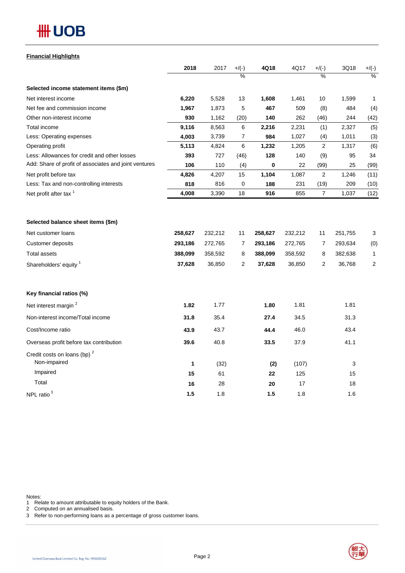# **HH UOB**

## **Financial Highlights**

|                                                       | 2018    | 2017    | $+/(-)$        | 4Q18    | 4Q17    | $+/(-)$        | 3Q18    | $+/(-)$ |
|-------------------------------------------------------|---------|---------|----------------|---------|---------|----------------|---------|---------|
|                                                       |         |         | $\frac{0}{2}$  |         |         | $\frac{0}{0}$  |         | $\%$    |
| Selected income statement items (\$m)                 |         |         |                |         |         |                |         |         |
| Net interest income                                   | 6,220   | 5,528   | 13             | 1,608   | 1,461   | 10             | 1,599   | 1       |
| Net fee and commission income                         | 1,967   | 1,873   | 5              | 467     | 509     | (8)            | 484     | (4)     |
| Other non-interest income                             | 930     | 1,162   | (20)           | 140     | 262     | (46)           | 244     | (42)    |
| Total income                                          | 9,116   | 8,563   | 6              | 2,216   | 2,231   | (1)            | 2,327   | (5)     |
| Less: Operating expenses                              | 4,003   | 3,739   | 7              | 984     | 1,027   | (4)            | 1,011   | (3)     |
| Operating profit                                      | 5,113   | 4,824   | 6              | 1,232   | 1,205   | $\overline{2}$ | 1,317   | (6)     |
| Less: Allowances for credit and other losses          | 393     | 727     | (46)           | 128     | 140     | (9)            | 95      | 34      |
| Add: Share of profit of associates and joint ventures | 106     | 110     | (4)            | 0       | 22      | (99)           | 25      | (99)    |
| Net profit before tax                                 | 4,826   | 4,207   | 15             | 1,104   | 1,087   | $\overline{2}$ | 1,246   | (11)    |
| Less: Tax and non-controlling interests               | 818     | 816     | 0              | 188     | 231     | (19)           | 209     | (10)    |
| Net profit after tax <sup>1</sup>                     | 4,008   | 3,390   | 18             | 916     | 855     | $\overline{7}$ | 1,037   | (12)    |
| Selected balance sheet items (\$m)                    |         |         |                |         |         |                |         |         |
| Net customer loans                                    | 258,627 | 232,212 | 11             | 258,627 | 232,212 | 11             | 251,755 | 3       |
| Customer deposits                                     | 293,186 | 272,765 | 7              | 293,186 | 272,765 | 7              | 293,634 | (0)     |
| <b>Total assets</b>                                   | 388,099 | 358,592 | 8              | 388,099 | 358,592 | 8              | 382,638 | 1       |
| Shareholders' equity <sup>1</sup>                     | 37,628  | 36,850  | $\overline{2}$ | 37,628  | 36,850  | $\overline{2}$ | 36,768  | 2       |
| Key financial ratios (%)                              |         |         |                |         |         |                |         |         |
| Net interest margin <sup>2</sup>                      | 1.82    | 1.77    |                | 1.80    | 1.81    |                | 1.81    |         |
| Non-interest income/Total income                      | 31.8    | 35.4    |                | 27.4    | 34.5    |                | 31.3    |         |
| Cost/Income ratio                                     | 43.9    | 43.7    |                | 44.4    | 46.0    |                | 43.4    |         |
| Overseas profit before tax contribution               | 39.6    | 40.8    |                | 33.5    | 37.9    |                | 41.1    |         |
| Credit costs on loans (bp) $2$<br>Non-impaired        | 1       | (32)    |                | (2)     | (107)   |                | 3       |         |
| Impaired                                              | 15      | 61      |                | 22      | 125     |                | 15      |         |
| Total                                                 | 16      | 28      |                | 20      | 17      |                | 18      |         |
| NPL ratio <sup>3</sup>                                | 1.5     | 1.8     |                | 1.5     | 1.8     |                | 1.6     |         |

Notes:

1 Relate to amount attributable to equity holders of the Bank.

2 Computed on an annualised basis.

3 Refer to non-performing loans as a percentage of gross customer loans.

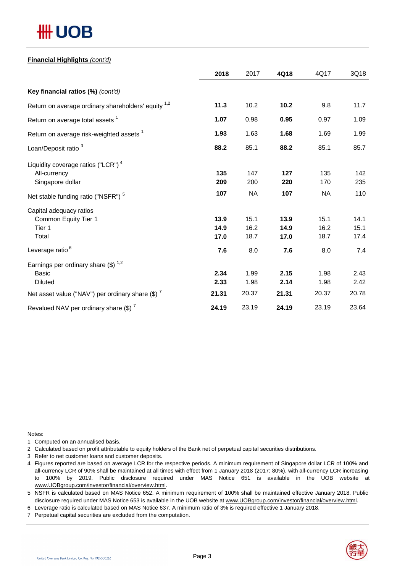# **## UOB**

## **Financial Highlights** *(cont'd)*

|                                                                                    | 2018                 | 2017                 | 4Q18                 | 4Q17                 | 3Q18                 |
|------------------------------------------------------------------------------------|----------------------|----------------------|----------------------|----------------------|----------------------|
| Key financial ratios (%) (cont'd)                                                  |                      |                      |                      |                      |                      |
| Return on average ordinary shareholders' equity <sup>1,2</sup>                     | 11.3                 | 10.2                 | 10.2                 | 9.8                  | 11.7                 |
| Return on average total assets <sup>1</sup>                                        | 1.07                 | 0.98                 | 0.95                 | 0.97                 | 1.09                 |
| Return on average risk-weighted assets <sup>1</sup>                                | 1.93                 | 1.63                 | 1.68                 | 1.69                 | 1.99                 |
| Loan/Deposit ratio <sup>3</sup>                                                    | 88.2                 | 85.1                 | 88.2                 | 85.1                 | 85.7                 |
| Liquidity coverage ratios ("LCR") <sup>4</sup><br>All-currency<br>Singapore dollar | 135<br>209           | 147<br>200           | 127<br>220           | 135<br>170           | 142<br>235           |
| Net stable funding ratio ("NSFR") <sup>5</sup>                                     | 107                  | <b>NA</b>            | 107                  | <b>NA</b>            | 110                  |
| Capital adequacy ratios<br>Common Equity Tier 1<br>Tier 1<br>Total                 | 13.9<br>14.9<br>17.0 | 15.1<br>16.2<br>18.7 | 13.9<br>14.9<br>17.0 | 15.1<br>16.2<br>18.7 | 14.1<br>15.1<br>17.4 |
| Leverage ratio <sup>6</sup>                                                        | 7.6                  | 8.0                  | 7.6                  | 8.0                  | 7.4                  |
| Earnings per ordinary share $(\$)^{1,2}$<br><b>Basic</b><br><b>Diluted</b>         | 2.34<br>2.33         | 1.99<br>1.98         | 2.15<br>2.14         | 1.98<br>1.98         | 2.43<br>2.42         |
| Net asset value ("NAV") per ordinary share $(\$)$ $^7$                             | 21.31                | 20.37                | 21.31                | 20.37                | 20.78                |
| Revalued NAV per ordinary share $(\$)$ <sup>7</sup>                                | 24.19                | 23.19                | 24.19                | 23.19                | 23.64                |

Notes:

- 1 Computed on an annualised basis.
- 2 Calculated based on profit attributable to equity holders of the Bank net of perpetual capital securities distributions.
- 3 Refer to net customer loans and customer deposits.
- 4 Figures reported are based on average LCR for the respective periods. A minimum requirement of Singapore dollar LCR of 100% and all-currency LCR of 90% shall be maintained at all times with effect from 1 January 2018 (2017: 80%), with all-currency LCR increasing to 100% by 2019. Public disclosure required under MAS Notice 651 is available in the UOB website at www.UOBgroup.com/investor/financial/overview.html.
- 5 NSFR is calculated based on MAS Notice 652. A minimum requirement of 100% shall be maintained effective January 2018. Public disclosure required under MAS Notice 653 is available in the UOB website at www.UOBgroup.com/investor/financial/overview.html.
- 6 Leverage ratio is calculated based on MAS Notice 637. A minimum ratio of 3% is required effective 1 January 2018.
- 7 Perpetual capital securities are excluded from the computation.

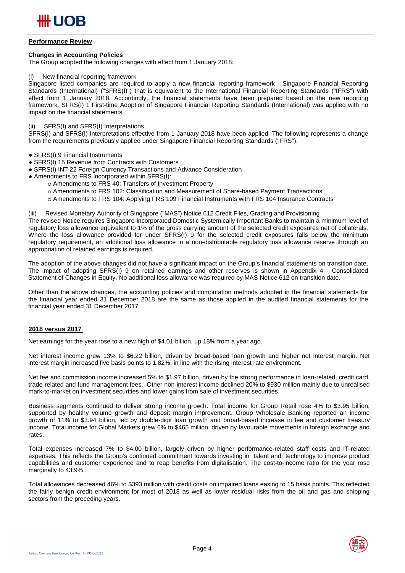

### **Performance Review**

### **Changes in Accounting Policies**

The Group adopted the following changes with effect from 1 January 2018:

### New financial reporting framework

Singapore listed companies are required to apply a new financial reporting framework - Singapore Financial Reporting Standards (International) ("SFRS(I)") that is equivalent to the International Financial Reporting Standards ("IFRS") with effect from 1 January 2018. Accordingly, the financial statements have been prepared based on the new reporting framework. SFRS(I) 1 First-time Adoption of Singapore Financial Reporting Standards (International) was applied with no impact on the financial statements.

### (ii) SFRS(I) and SFRS(I) Interpretations

SFRS(I) and SFRS(I) Interpretations effective from 1 January 2018 have been applied. The following represents a change from the requirements previously applied under Singapore Financial Reporting Standards ("FRS").

- SFRS(I) 9 Financial Instruments
- SFRS(I) 15 Revenue from Contracts with Customers
- SFRS(I) INT 22 Foreign Currency Transactions and Advance Consideration
- Amendments to FRS incorporated within SFRS(I):
	- o Amendments to FRS 40: Transfers of Investment Property
	- o Amendments to FRS 102: Classification and Measurement of Share-based Payment Transactions
	- o Amendments to FRS 104: Applying FRS 109 Financial Instruments with FRS 104 Insurance Contracts

(iii) Revised Monetary Authority of Singapore ("MAS") Notice 612 Credit Files, Grading and Provisioning

The revised Notice requires Singapore-incorporated Domestic Systemically Important Banks to maintain a minimum level of regulatory loss allowance equivalent to 1% of the gross carrying amount of the selected credit exposures net of collaterals. Where the loss allowance provided for under SFRS(I) 9 for the selected credit exposures falls below the minimum regulatory requirement, an additional loss allowance in a non-distributable regulatory loss allowance reserve through an appropriation of retained earnings is required.

The adoption of the above changes did not have a significant impact on the Group's financial statements on transition date. The impact of adopting SFRS(I) 9 on retained earnings and other reserves is shown in Appendix 4 - Consolidated Statement of Changes in Equity. No additional loss allowance was required by MAS Notice 612 on transition date.

Other than the above changes, the accounting policies and computation methods adopted in the financial statements for the financial year ended 31 December 2018 are the same as those applied in the audited financial statements for the financial year ended 31 December 2017.

### **2018 versus 2017**

Net earnings for the year rose to a new high of \$4.01 billion, up 18% from a year ago.

Net interest income grew 13% to \$6.22 billion, driven by broad-based loan growth and higher net interest margin. Net interest margin increased five basis points to 1.82%, in line with the rising interest rate environment.

Net fee and commission income increased 5% to \$1.97 billion, driven by the strong performance in loan-related, credit card, trade-related and fund management fees. Other non-interest income declined 20% to \$930 million mainly due to unrealised mark-to-market on investment securities and lower gains from sale of investment securities.

Business segments continued to deliver strong income growth. Total income for Group Retail rose 4% to \$3.95 billion, supported by healthy volume growth and deposit margin improvement. Group Wholesale Banking reported an income growth of 11% to \$3.94 billion, led by double-digit loan growth and broad-based increase in fee and customer treasury income. Total income for Global Markets grew 6% to \$465 million, driven by favourable movements in foreign exchange and rates.

Total expenses increased 7% to \$4.00 billion, largely driven by higher performance-related staff costs and IT-related expenses. This reflects the Group's continued commitment towards investing in talent and technology to improve product capabilities and customer experience and to reap benefits from digitalisation. The cost-to-income ratio for the year rose marginally to 43.9%.

Total allowances decreased 46% to \$393 million with credit costs on impaired loans easing to 15 basis points. This reflected the fairly benign credit environment for most of 2018 as well as lower residual risks from the oil and gas and shipping sectors from the preceding years.

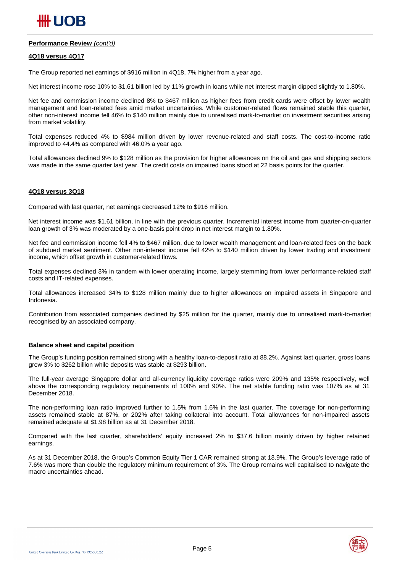

### **Performance Review** *(cont'd)*

### **4Q18 versus 4Q17**

The Group reported net earnings of \$916 million in 4Q18, 7% higher from a year ago.

Net interest income rose 10% to \$1.61 billion led by 11% growth in loans while net interest margin dipped slightly to 1.80%.

Net fee and commission income declined 8% to \$467 million as higher fees from credit cards were offset by lower wealth management and loan-related fees amid market uncertainties. While customer-related flows remained stable this quarter, other non-interest income fell 46% to \$140 million mainly due to unrealised mark-to-market on investment securities arising from market volatility.

Total expenses reduced 4% to \$984 million driven by lower revenue-related and staff costs. The cost-to-income ratio improved to 44.4% as compared with 46.0% a year ago.

Total allowances declined 9% to \$128 million as the provision for higher allowances on the oil and gas and shipping sectors was made in the same quarter last year. The credit costs on impaired loans stood at 22 basis points for the quarter.

### **4Q18 versus 3Q18**

Compared with last quarter, net earnings decreased 12% to \$916 million.

Net interest income was \$1.61 billion, in line with the previous quarter. Incremental interest income from quarter-on-quarter loan growth of 3% was moderated by a one-basis point drop in net interest margin to 1.80%.

Net fee and commission income fell 4% to \$467 million, due to lower wealth management and loan-related fees on the back of subdued market sentiment. Other non-interest income fell 42% to \$140 million driven by lower trading and investment income, which offset growth in customer-related flows.

Total expenses declined 3% in tandem with lower operating income, largely stemming from lower performance-related staff costs and IT-related expenses.

Total allowances increased 34% to \$128 million mainly due to higher allowances on impaired assets in Singapore and Indonesia.

Contribution from associated companies declined by \$25 million for the quarter, mainly due to unrealised mark-to-market recognised by an associated company.

### **Balance sheet and capital position**

The Group's funding position remained strong with a healthy loan-to-deposit ratio at 88.2%. Against last quarter, gross loans grew 3% to \$262 billion while deposits was stable at \$293 billion.

The full-year average Singapore dollar and all-currency liquidity coverage ratios were 209% and 135% respectively, well above the corresponding regulatory requirements of 100% and 90%. The net stable funding ratio was 107% as at 31 December 2018.

The non-performing loan ratio improved further to 1.5% from 1.6% in the last quarter. The coverage for non-performing assets remained stable at 87%, or 202% after taking collateral into account. Total allowances for non-impaired assets remained adequate at \$1.98 billion as at 31 December 2018.

Compared with the last quarter, shareholders' equity increased 2% to \$37.6 billion mainly driven by higher retained earnings.

As at 31 December 2018, the Group's Common Equity Tier 1 CAR remained strong at 13.9%. The Group's leverage ratio of 7.6% was more than double the regulatory minimum requirement of 3%. The Group remains well capitalised to navigate the macro uncertainties ahead.



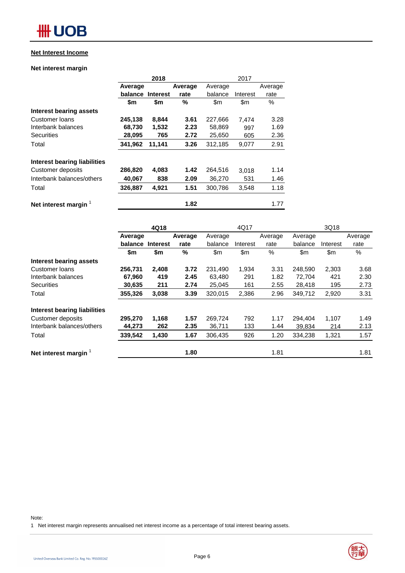## **HH UOB**

### **Net Interest Income**

### **Net interest margin**

|                                     |         | 2018            |         |         |          |         |
|-------------------------------------|---------|-----------------|---------|---------|----------|---------|
|                                     | Average |                 | Average | Average |          | Average |
|                                     | balance | <b>Interest</b> | rate    | balance | Interest | rate    |
|                                     | \$m     | \$m             | %       | \$m     | \$m      | $\%$    |
| Interest bearing assets             |         |                 |         |         |          |         |
| Customer loans                      | 245,138 | 8,844           | 3.61    | 227,666 | 7.474    | 3.28    |
| Interbank balances                  | 68,730  | 1,532           | 2.23    | 58,869  | 997      | 1.69    |
| <b>Securities</b>                   | 28,095  | 765             | 2.72    | 25,650  | 605      | 2.36    |
| Total                               | 341,962 | 11,141          | 3.26    | 312,185 | 9,077    | 2.91    |
| <b>Interest bearing liabilities</b> |         |                 |         |         |          |         |
| Customer deposits                   | 286,820 | 4,083           | 1.42    | 264,516 | 3,018    | 1.14    |
| Interbank balances/others           | 40,067  | 838             | 2.09    | 36,270  | 531      | 1.46    |
| Total                               | 326,887 | 4,921           | 1.51    | 300.786 | 3,548    | 1.18    |
| Net interest margin                 |         |                 | 1.82    |         |          | 1.77    |

|                                  | 4Q18    |                 |         | 4Q17    |          |         | 3Q18    |          |         |  |
|----------------------------------|---------|-----------------|---------|---------|----------|---------|---------|----------|---------|--|
|                                  | Average |                 | Average | Average |          | Average | Average |          | Average |  |
|                                  | balance | <b>Interest</b> | rate    | balance | Interest | rate    | balance | Interest | rate    |  |
|                                  | \$m     | \$m             | %       | \$m\$   | \$m      | %       | \$m     | \$m      | %       |  |
| Interest bearing assets          |         |                 |         |         |          |         |         |          |         |  |
| Customer loans                   | 256,731 | 2,408           | 3.72    | 231.490 | 1,934    | 3.31    | 248,590 | 2,303    | 3.68    |  |
| Interbank balances               | 67,960  | 419             | 2.45    | 63,480  | 291      | 1.82    | 72,704  | 421      | 2.30    |  |
| <b>Securities</b>                | 30,635  | 211             | 2.74    | 25,045  | 161      | 2.55    | 28,418  | 195      | 2.73    |  |
| Total                            | 355,326 | 3,038           | 3.39    | 320,015 | 2,386    | 2.96    | 349.712 | 2,920    | 3.31    |  |
| Interest bearing liabilities     |         |                 |         |         |          |         |         |          |         |  |
| Customer deposits                | 295,270 | 1,168           | 1.57    | 269,724 | 792      | 1.17    | 294,404 | 1,107    | 1.49    |  |
| Interbank balances/others        | 44,273  | 262             | 2.35    | 36,711  | 133      | 1.44    | 39,834  | 214      | 2.13    |  |
| Total                            | 339,542 | 1,430           | 1.67    | 306,435 | 926      | 1.20    | 334,238 | 1,321    | 1.57    |  |
| Net interest margin <sup>1</sup> |         |                 | 1.80    |         |          | 1.81    |         |          | 1.81    |  |

Note:

1 Net interest margin represents annualised net interest income as a percentage of total interest bearing assets.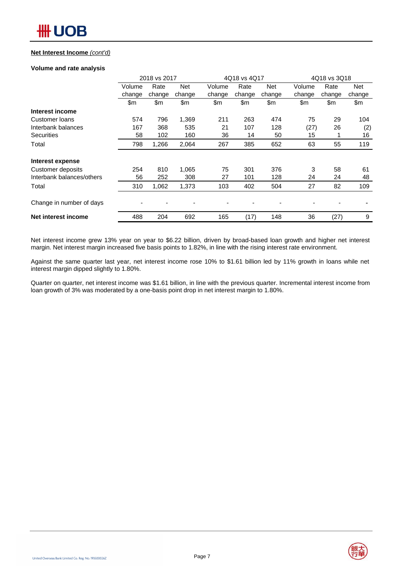### **Net Interest Income** *(cont'd)*

### **Volume and rate analysis**

|                           | 2018 vs 2017 |        |            | 4Q18 vs 4Q17 |        |        | 4Q18 vs 3Q18 |        |        |  |
|---------------------------|--------------|--------|------------|--------------|--------|--------|--------------|--------|--------|--|
|                           | Volume       | Rate   | <b>Net</b> | Volume       | Rate   | Net    | Volume       | Rate   | Net    |  |
|                           | change       | change | change     | change       | change | change | change       | change | change |  |
|                           | \$m          | \$m    | \$m        | \$m          | \$m    | \$m    | \$m          | \$m    | \$m    |  |
| Interest income           |              |        |            |              |        |        |              |        |        |  |
| Customer Ioans            | 574          | 796    | 1,369      | 211          | 263    | 474    | 75           | 29     | 104    |  |
| Interbank balances        | 167          | 368    | 535        | 21           | 107    | 128    | (27)         | 26     | (2)    |  |
| <b>Securities</b>         | 58           | 102    | 160        | 36           | 14     | 50     | 15           |        | 16     |  |
| Total                     | 798          | 1,266  | 2,064      | 267          | 385    | 652    | 63           | 55     | 119    |  |
| Interest expense          |              |        |            |              |        |        |              |        |        |  |
| Customer deposits         | 254          | 810    | 1.065      | 75           | 301    | 376    | 3            | 58     | 61     |  |
| Interbank balances/others | 56           | 252    | 308        | 27           | 101    | 128    | 24           | 24     | 48     |  |
| Total                     | 310          | 1,062  | 1,373      | 103          | 402    | 504    | 27           | 82     | 109    |  |
| Change in number of days  |              |        |            |              |        |        |              |        |        |  |
| Net interest income       | 488          | 204    | 692        | 165          | (17)   | 148    | 36           | (27)   | 9      |  |

Net interest income grew 13% year on year to \$6.22 billion, driven by broad-based loan growth and higher net interest margin. Net interest margin increased five basis points to 1.82%, in line with the rising interest rate environment.

Against the same quarter last year, net interest income rose 10% to \$1.61 billion led by 11% growth in loans while net interest margin dipped slightly to 1.80%.

Quarter on quarter, net interest income was \$1.61 billion, in line with the previous quarter. Incremental interest income from loan growth of 3% was moderated by a one-basis point drop in net interest margin to 1.80%.

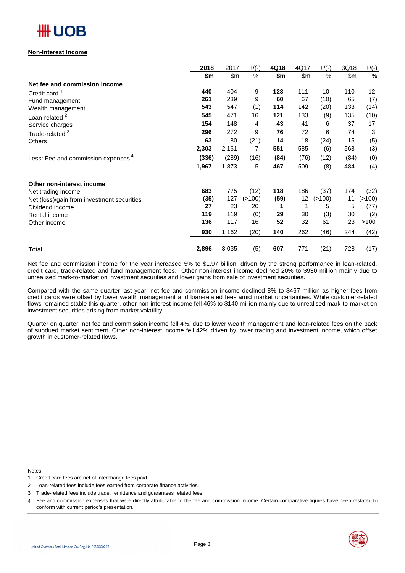

### **Non-Interest Income**

|                                                | 2018  | 2017  | $+$ /(-) | 4Q18 | 4Q17 | $+/(-)$       | 3Q18 | $+/(-)$           |
|------------------------------------------------|-------|-------|----------|------|------|---------------|------|-------------------|
|                                                | \$m   | \$m\$ | %        | \$m  | \$m  | $\frac{0}{0}$ | \$m  | $\%$              |
| Net fee and commission income                  |       |       |          |      |      |               |      |                   |
| Credit card <sup>1</sup>                       | 440   | 404   | 9        | 123  | 111  | 10            | 110  | $12 \overline{ }$ |
| Fund management                                | 261   | 239   | 9        | 60   | 67   | (10)          | 65   | (7)               |
| Wealth management                              | 543   | 547   | (1)      | 114  | 142  | (20)          | 133  | (14)              |
| Loan-related <sup>2</sup>                      | 545   | 471   | 16       | 121  | 133  | (9)           | 135  | (10)              |
| Service charges                                | 154   | 148   | 4        | 43   | 41   | 6             | 37   | 17                |
| Trade-related <sup>3</sup>                     | 296   | 272   | 9        | 76   | 72   | 6             | 74   | 3                 |
| <b>Others</b>                                  | 63    | 80    | (21)     | 14   | 18   | (24)          | 15   | (5)               |
|                                                | 2,303 | 2,161 | 7        | 551  | 585  | (6)           | 568  | (3)               |
| Less: Fee and commission expenses <sup>4</sup> | (336) | (289) | (16)     | (84) | (76) | (12)          | (84) | (0)               |
|                                                | 1,967 | 1,873 | 5        | 467  | 509  | (8)           | 484  | (4)               |
| Other non-interest income                      |       |       |          |      |      |               |      |                   |
| Net trading income                             | 683   | 775   | (12)     | 118  | 186  | (37)          | 174  | (32)              |
| Net (loss)/gain from investment securities     | (35)  | 127   | (>100)   | (59) | 12   | (>100)        | 11   | (>100)            |
| Dividend income                                | 27    | 23    | 20       | 1    | 1    | 5             | 5    | (77)              |
| Rental income                                  | 119   | 119   | (0)      | 29   | 30   | (3)           | 30   | (2)               |
| Other income                                   | 136   | 117   | 16       | 52   | 32   | 61            | 23   | >100              |
|                                                | 930   | 1,162 | (20)     | 140  | 262  | (46)          | 244  | (42)              |
| Total                                          | 2,896 | 3,035 | (5)      | 607  | 771  | (21)          | 728  | (17)              |

Net fee and commission income for the year increased 5% to \$1.97 billion, driven by the strong performance in loan-related, credit card, trade-related and fund management fees. Other non-interest income declined 20% to \$930 million mainly due to unrealised mark-to-market on investment securities and lower gains from sale of investment securities.

Compared with the same quarter last year, net fee and commission income declined 8% to \$467 million as higher fees from credit cards were offset by lower wealth management and loan-related fees amid market uncertainties. While customer-related flows remained stable this quarter, other non-interest income fell 46% to \$140 million mainly due to unrealised mark-to-market on investment securities arising from market volatility.

Quarter on quarter, net fee and commission income fell 4%, due to lower wealth management and loan-related fees on the back of subdued market sentiment. Other non-interest income fell 42% driven by lower trading and investment income, which offset growth in customer-related flows.

Notes:

- 1 Credit card fees are net of interchange fees paid.
- 2 Loan-related fees include fees earned from corporate finance activities.
- 3 Trade-related fees include trade, remittance and guarantees related fees.

<sup>4</sup> Fee and commission expenses that were directly attributable to the fee and commission income. Certain comparative figures have been restated to conform with current period's presentation.

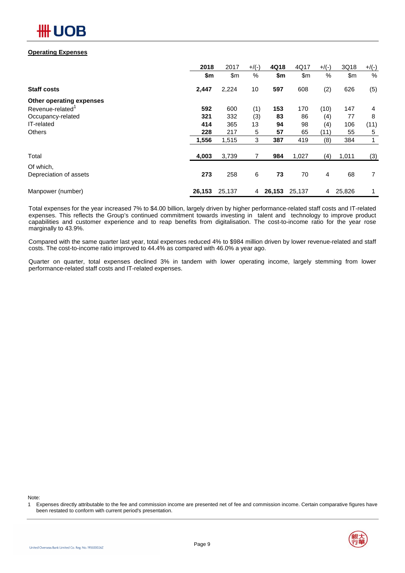

### **Operating Expenses**

|                          | 2018   | 2017   | $+$ /(-) | 4Q18   | 4Q17   | $+/(-)$ | 3Q18   | $+$ /(-) |
|--------------------------|--------|--------|----------|--------|--------|---------|--------|----------|
|                          | \$m    | \$m\$  | %        | \$m    | \$m    | %       | \$m    | %        |
| <b>Staff costs</b>       | 2,447  | 2,224  | 10       | 597    | 608    | (2)     | 626    | (5)      |
| Other operating expenses |        |        |          |        |        |         |        |          |
| Revenue-related          | 592    | 600    | (1)      | 153    | 170    | (10)    | 147    | 4        |
| Occupancy-related        | 321    | 332    | (3)      | 83     | 86     | (4)     | 77     | 8        |
| <b>IT-related</b>        | 414    | 365    | 13       | 94     | 98     | (4)     | 106    | (11)     |
| <b>Others</b>            | 228    | 217    | 5        | 57     | 65     | (11)    | 55     | 5        |
|                          | 1,556  | 1,515  | 3        | 387    | 419    | (8)     | 384    | 1        |
| Total                    | 4,003  | 3,739  | 7        | 984    | 1,027  | (4)     | 1,011  | (3)      |
| Of which,                |        |        |          |        |        |         |        |          |
| Depreciation of assets   | 273    | 258    | 6        | 73     | 70     | 4       | 68     | 7        |
| Manpower (number)        | 26,153 | 25,137 | 4        | 26,153 | 25,137 | 4       | 25,826 | 1        |

Total expenses for the year increased 7% to \$4.00 billion, largely driven by higher performance-related staff costs and IT-related expenses. This reflects the Group's continued commitment towards investing in talent and technology to improve product capabilities and customer experience and to reap benefits from digitalisation. The cost-to-income ratio for the year rose marginally to 43.9%.

Compared with the same quarter last year, total expenses reduced 4% to \$984 million driven by lower revenue-related and staff costs. The cost-to-income ratio improved to 44.4% as compared with 46.0% a year ago.

Quarter on quarter, total expenses declined 3% in tandem with lower operating income, largely stemming from lower performance-related staff costs and IT-related expenses.

Note:

<sup>1</sup> Expenses directly attributable to the fee and commission income are presented net of fee and commission income. Certain comparative figures have been restated to conform with current period's presentation.

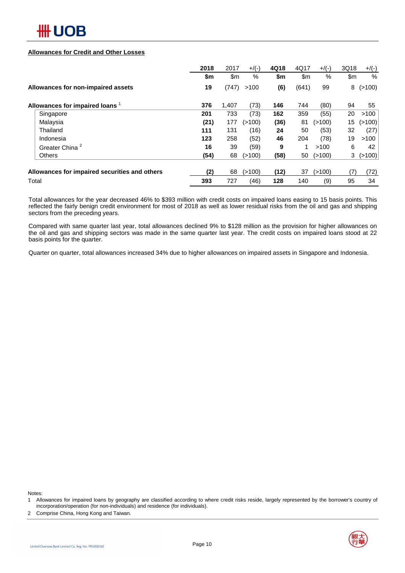

### **Allowances for Credit and Other Losses**

|                                               | 2018 | 2017  | $+/(-)$ | 4Q18 | 4Q17  | $+/(-)$ | 3Q18 | $+$ /(-) |
|-----------------------------------------------|------|-------|---------|------|-------|---------|------|----------|
|                                               | \$m  | \$m   | %       | \$m  | \$m   | %       | \$m  | $\%$     |
| Allowances for non-impaired assets            | 19   | (747) | >100    | (6)  | (641) | 99      | 8    | (>100)   |
| Allowances for impaired loans 1               | 376  | 1.407 | (73)    | 146  | 744   | (80)    | 94   | 55       |
| Singapore                                     | 201  | 733   | (73)    | 162  | 359   | (55)    | 20   | >100     |
| Malaysia                                      | (21) | 177   | (>100)  | (36) | 81    | (>100)  | 15   | ( > 100) |
| Thailand                                      | 111  | 131   | (16)    | 24   | 50    | (53)    | 32   | (27)     |
| Indonesia                                     | 123  | 258   | (52)    | 46   | 204   | (78)    | 19   | >100     |
| Greater China <sup>2</sup>                    | 16   | 39    | (59)    | 9    | 1     | >100    | 6    | 42       |
| <b>Others</b>                                 | (54) | 68    | (>100)  | (58) | 50    | (>100)  | 3    | (>100)   |
| Allowances for impaired securities and others | (2)  | 68    | (>100)  | (12) | 37    | (>100)  | (7)  | (72)     |
| Total                                         | 393  | 727   | (46)    | 128  | 140   | (9)     | 95   | 34       |

Total allowances for the year decreased 46% to \$393 million with credit costs on impaired loans easing to 15 basis points. This reflected the fairly benign credit environment for most of 2018 as well as lower residual risks from the oil and gas and shipping sectors from the preceding years.

Compared with same quarter last year, total allowances declined 9% to \$128 million as the provision for higher allowances on the oil and gas and shipping sectors was made in the same quarter last year. The credit costs on impaired loans stood at 22 basis points for the quarter.

Quarter on quarter, total allowances increased 34% due to higher allowances on impaired assets in Singapore and Indonesia.

Notes:

<sup>2</sup> Comprise China, Hong Kong and Taiwan.





<sup>1</sup> Allowances for impaired loans by geography are classified according to where credit risks reside, largely represented by the borrower's country of incorporation/operation (for non-individuals) and residence (for individuals).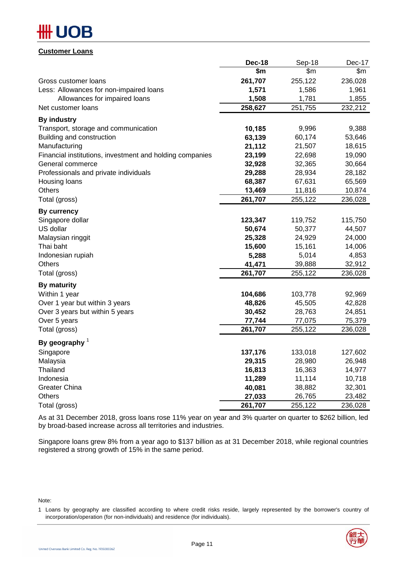# **OB**

## **Customer Loans**

|                                                          | <b>Dec-18</b> | Sep-18  | Dec-17  |
|----------------------------------------------------------|---------------|---------|---------|
|                                                          | \$m           | \$m     | \$m\$   |
| Gross customer loans                                     | 261,707       | 255,122 | 236,028 |
| Less: Allowances for non-impaired loans                  | 1,571         | 1,586   | 1,961   |
| Allowances for impaired loans                            | 1,508         | 1,781   | 1,855   |
| Net customer loans                                       | 258,627       | 251,755 | 232,212 |
| <b>By industry</b>                                       |               |         |         |
| Transport, storage and communication                     | 10,185        | 9,996   | 9,388   |
| Building and construction                                | 63,139        | 60,174  | 53,646  |
| Manufacturing                                            | 21,112        | 21,507  | 18,615  |
| Financial institutions, investment and holding companies | 23,199        | 22,698  | 19,090  |
| General commerce                                         | 32,928        | 32,365  | 30,664  |
| Professionals and private individuals                    | 29,288        | 28,934  | 28,182  |
| Housing loans                                            | 68,387        | 67,631  | 65,569  |
| <b>Others</b>                                            | 13,469        | 11,816  | 10,874  |
| Total (gross)                                            | 261,707       | 255,122 | 236,028 |
| <b>By currency</b>                                       |               |         |         |
| Singapore dollar                                         | 123,347       | 119,752 | 115,750 |
| US dollar                                                | 50,674        | 50,377  | 44,507  |
| Malaysian ringgit                                        | 25,328        | 24,929  | 24,000  |
| Thai baht                                                | 15,600        | 15,161  | 14,006  |
| Indonesian rupiah                                        | 5,288         | 5,014   | 4,853   |
| <b>Others</b>                                            | 41,471        | 39,888  | 32,912  |
| Total (gross)                                            | 261,707       | 255,122 | 236,028 |
| <b>By maturity</b>                                       |               |         |         |
| Within 1 year                                            | 104,686       | 103,778 | 92,969  |
| Over 1 year but within 3 years                           | 48,826        | 45,505  | 42,828  |
| Over 3 years but within 5 years                          | 30,452        | 28,763  | 24,851  |
| Over 5 years                                             | 77,744        | 77,075  | 75,379  |
| Total (gross)                                            | 261,707       | 255,122 | 236,028 |
| By geography $1$                                         |               |         |         |
| Singapore                                                | 137,176       | 133,018 | 127,602 |
| Malaysia                                                 | 29,315        | 28,980  | 26,948  |
| Thailand                                                 | 16,813        | 16,363  | 14,977  |
| Indonesia                                                | 11,289        | 11,114  | 10,718  |
| <b>Greater China</b>                                     | 40,081        | 38,882  | 32,301  |
| <b>Others</b>                                            | 27,033        | 26,765  | 23,482  |
| Total (gross)                                            | 261,707       | 255,122 | 236,028 |

As at 31 December 2018, gross loans rose 11% year on year and 3% quarter on quarter to \$262 billion, led by broad-based increase across all territories and industries.

Singapore loans grew 8% from a year ago to \$137 billion as at 31 December 2018, while regional countries registered a strong growth of 15% in the same period.

Note:

<sup>1</sup> Loans by geography are classified according to where credit risks reside, largely represented by the borrower's country of incorporation/operation (for non-individuals) and residence (for individuals).

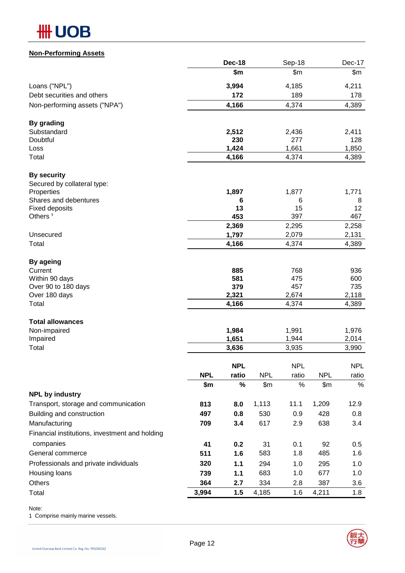# **HH UOB**

## **Non-Performing Assets**

|                                                |            | <b>Dec-18</b>  |            | Sep-18         |            | Dec-17         |
|------------------------------------------------|------------|----------------|------------|----------------|------------|----------------|
|                                                |            | \$m            |            | \$m\$          |            | \$m            |
| Loans ("NPL")                                  |            | 3,994          |            | 4,185          |            | 4,211          |
| Debt securities and others                     |            | 172            |            | 189            |            | 178            |
| Non-performing assets ("NPA")                  |            | 4,166          |            | 4,374          |            | 4,389          |
| <b>By grading</b>                              |            |                |            |                |            |                |
| Substandard                                    |            | 2,512          |            | 2,436          |            | 2,411          |
| Doubtful                                       |            | 230            |            | 277            |            | 128            |
| Loss                                           |            | 1,424          |            | 1,661          |            | 1,850          |
| Total                                          |            | 4,166          |            | 4,374          |            | 4,389          |
| <b>By security</b>                             |            |                |            |                |            |                |
| Secured by collateral type:                    |            |                |            |                |            |                |
| Properties                                     |            | 1,897          |            | 1,877          |            | 1,771          |
| Shares and debentures                          |            | 6              |            | 6              |            | 8              |
| <b>Fixed deposits</b><br>Others <sup>1</sup>   |            | 13<br>453      |            | 15<br>397      |            | 12<br>467      |
|                                                |            | 2,369          |            | 2,295          |            | 2,258          |
| Unsecured                                      |            | 1,797          |            | 2,079          |            | 2,131          |
| Total                                          |            | 4,166          |            | 4,374          |            | 4,389          |
|                                                |            |                |            |                |            |                |
| <b>By ageing</b>                               |            |                |            |                |            |                |
| Current                                        |            | 885            |            | 768            |            | 936            |
| Within 90 days                                 |            | 581<br>379     |            | 475<br>457     |            | 600<br>735     |
| Over 90 to 180 days<br>Over 180 days           |            | 2,321          |            | 2,674          |            | 2,118          |
| Total                                          |            | 4,166          |            | 4,374          |            | 4,389          |
|                                                |            |                |            |                |            |                |
| <b>Total allowances</b>                        |            |                |            |                |            |                |
| Non-impaired<br>Impaired                       |            | 1,984<br>1,651 |            | 1,991<br>1,944 |            | 1,976<br>2,014 |
| Total                                          |            | 3,636          |            | 3,935          |            | 3,990          |
|                                                |            |                |            |                |            |                |
|                                                |            | <b>NPL</b>     |            | <b>NPL</b>     |            | <b>NPL</b>     |
|                                                | <b>NPL</b> | ratio          | <b>NPL</b> | ratio          | <b>NPL</b> | ratio          |
| <b>NPL by industry</b>                         | \$m        | $\%$           | \$m        | $\%$           | \$m\$      | $\%$           |
| Transport, storage and communication           | 813        | 8.0            | 1,113      | 11.1           | 1,209      | 12.9           |
| Building and construction                      | 497        | 0.8            | 530        | 0.9            | 428        | 0.8            |
| Manufacturing                                  | 709        | 3.4            | 617        | 2.9            | 638        | 3.4            |
|                                                |            |                |            |                |            |                |
| Financial institutions, investment and holding |            |                |            |                |            |                |
| companies                                      | 41         | 0.2            | 31         | 0.1            | 92         | 0.5            |
| General commerce                               | 511        | 1.6            | 583        | 1.8            | 485        | 1.6            |
| Professionals and private individuals          | 320        | 1.1            | 294        | 1.0            | 295        | 1.0            |
| Housing loans                                  | 739        | 1.1            | 683        | 1.0            | 677        | 1.0            |
| Others                                         | 364        | 2.7            | 334        | 2.8            | 387        | 3.6            |
| Total                                          | 3,994      | 1.5            | 4,185      | 1.6            | 4,211      | 1.8            |

Note:

1 Comprise mainly marine vessels.

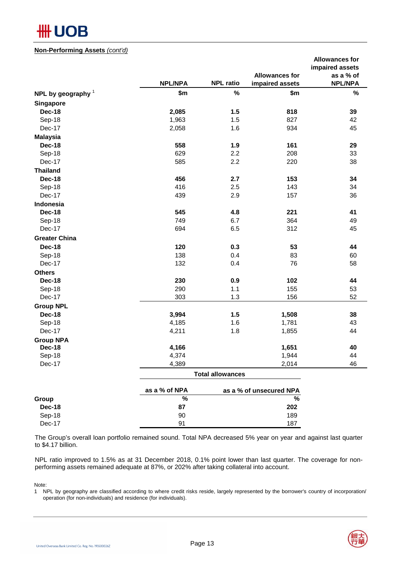

### **Non-Performing Assets** *(cont'd)*

|                      |                |                         |                         | <b>Allowances for</b> |
|----------------------|----------------|-------------------------|-------------------------|-----------------------|
|                      |                |                         |                         | impaired assets       |
|                      |                |                         | <b>Allowances for</b>   | as a % of             |
|                      | <b>NPL/NPA</b> | <b>NPL ratio</b>        | impaired assets         | <b>NPL/NPA</b>        |
| NPL by geography $1$ | \$m            | $\%$                    | \$m                     | $\%$                  |
| <b>Singapore</b>     |                |                         |                         |                       |
| <b>Dec-18</b>        | 2,085          | 1.5                     | 818                     | 39                    |
| Sep-18               | 1,963          | 1.5                     | 827                     | 42                    |
| Dec-17               | 2,058          | 1.6                     | 934                     | 45                    |
| <b>Malaysia</b>      |                |                         |                         |                       |
| <b>Dec-18</b>        | 558            | 1.9                     | 161                     | 29                    |
| Sep-18               | 629            | 2.2                     | 208                     | 33                    |
| Dec-17               | 585            | 2.2                     | 220                     | 38                    |
| <b>Thailand</b>      |                |                         |                         |                       |
| <b>Dec-18</b>        | 456            | 2.7                     | 153                     | 34                    |
| Sep-18               | 416            | 2.5                     | 143                     | 34                    |
| Dec-17               | 439            | 2.9                     | 157                     | 36                    |
| Indonesia            |                |                         |                         |                       |
| <b>Dec-18</b>        | 545            | 4.8                     | 221                     | 41                    |
| Sep-18               | 749            | 6.7                     | 364                     | 49                    |
| Dec-17               | 694            | 6.5                     | 312                     | 45                    |
| <b>Greater China</b> |                |                         |                         |                       |
| <b>Dec-18</b>        | 120            | 0.3                     | 53                      | 44                    |
| Sep-18               | 138            | 0.4                     | 83                      | 60                    |
| Dec-17               | 132            | 0.4                     | 76                      | 58                    |
|                      |                |                         |                         |                       |
| <b>Others</b>        |                |                         |                         |                       |
| <b>Dec-18</b>        | 230            | 0.9                     | 102                     | 44                    |
| Sep-18<br>Dec-17     | 290<br>303     | 1.1<br>1.3              | 155                     | 53<br>52              |
|                      |                |                         | 156                     |                       |
| <b>Group NPL</b>     |                |                         |                         |                       |
| <b>Dec-18</b>        | 3,994          | 1.5                     | 1,508                   | 38                    |
| Sep-18               | 4,185          | 1.6                     | 1,781                   | 43                    |
| Dec-17               | 4,211          | 1.8                     | 1,855                   | 44                    |
| <b>Group NPA</b>     |                |                         |                         |                       |
| <b>Dec-18</b>        | 4,166          |                         | 1,651                   | 40                    |
| Sep-18               | 4,374          |                         | 1,944                   | 44                    |
| Dec-17               | 4,389          |                         | 2,014                   | 46                    |
|                      |                | <b>Total allowances</b> |                         |                       |
|                      | as a % of NPA  |                         | as a % of unsecured NPA |                       |
| Group                | $\frac{9}{6}$  |                         | $\frac{1}{6}$           |                       |
| <b>Dec-18</b>        | 87             |                         | 202                     |                       |
| Sep-18               | 90             |                         | 189                     |                       |

The Group's overall loan portfolio remained sound. Total NPA decreased 5% year on year and against last quarter to \$4.17 billion.

Dec-17 91 187

NPL ratio improved to 1.5% as at 31 December 2018, 0.1% point lower than last quarter. The coverage for nonperforming assets remained adequate at 87%, or 202% after taking collateral into account.

Note:

1 NPL by geography are classified according to where credit risks reside, largely represented by the borrower's country of incorporation/ operation (for non-individuals) and residence (for individuals).

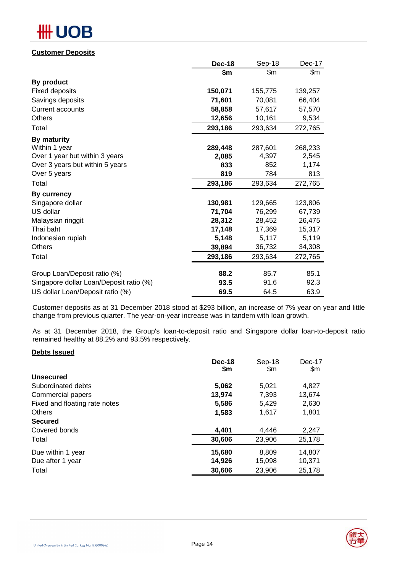# **JOB**

## **Customer Deposits**

|                                         | <b>Dec-18</b> | Sep-18  | Dec-17  |
|-----------------------------------------|---------------|---------|---------|
|                                         | \$m           | \$m\$   | \$m\$   |
| By product                              |               |         |         |
| <b>Fixed deposits</b>                   | 150,071       | 155,775 | 139,257 |
| Savings deposits                        | 71,601        | 70,081  | 66,404  |
| <b>Current accounts</b>                 | 58,858        | 57,617  | 57,570  |
| <b>Others</b>                           | 12,656        | 10,161  | 9,534   |
| Total                                   | 293,186       | 293,634 | 272,765 |
| By maturity                             |               |         |         |
| Within 1 year                           | 289,448       | 287,601 | 268,233 |
| Over 1 year but within 3 years          | 2,085         | 4,397   | 2,545   |
| Over 3 years but within 5 years         | 833           | 852     | 1,174   |
| Over 5 years                            | 819           | 784     | 813     |
| Total                                   | 293,186       | 293,634 | 272,765 |
| By currency                             |               |         |         |
| Singapore dollar                        | 130,981       | 129,665 | 123,806 |
| US dollar                               | 71,704        | 76,299  | 67,739  |
| Malaysian ringgit                       | 28,312        | 28,452  | 26,475  |
| Thai baht                               | 17,148        | 17,369  | 15,317  |
| Indonesian rupiah                       | 5,148         | 5,117   | 5,119   |
| <b>Others</b>                           | 39,894        | 36,732  | 34,308  |
| Total                                   | 293,186       | 293,634 | 272,765 |
| Group Loan/Deposit ratio (%)            | 88.2          | 85.7    | 85.1    |
| Singapore dollar Loan/Deposit ratio (%) | 93.5          | 91.6    | 92.3    |
| US dollar Loan/Deposit ratio (%)        | 69.5          | 64.5    | 63.9    |

Customer deposits as at 31 December 2018 stood at \$293 billion, an increase of 7% year on year and little change from previous quarter. The year-on-year increase was in tandem with loan growth.

As at 31 December 2018, the Group's loan-to-deposit ratio and Singapore dollar loan-to-deposit ratio remained healthy at 88.2% and 93.5% respectively.

## **Debts Issued**

|                               | Dec-18 | Sep-18 | Dec-17 |
|-------------------------------|--------|--------|--------|
|                               | \$m    | \$m\$  | \$m\$  |
| <b>Unsecured</b>              |        |        |        |
| Subordinated debts            | 5,062  | 5,021  | 4,827  |
| Commercial papers             | 13,974 | 7,393  | 13,674 |
| Fixed and floating rate notes | 5,586  | 5,429  | 2,630  |
| <b>Others</b>                 | 1,583  | 1,617  | 1.801  |
| <b>Secured</b>                |        |        |        |
| Covered bonds                 | 4,401  | 4,446  | 2,247  |
| Total                         | 30,606 | 23,906 | 25,178 |
| Due within 1 year             | 15,680 | 8,809  | 14,807 |
| Due after 1 year              | 14,926 | 15,098 | 10,371 |
| Total                         | 30,606 | 23,906 | 25,178 |
|                               |        |        |        |

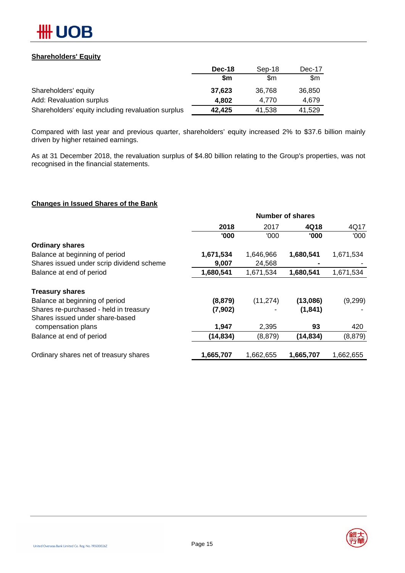

## **Shareholders' Equity**

|                                                    | Dec-18 | Sep-18 | Dec-17 |
|----------------------------------------------------|--------|--------|--------|
|                                                    | \$m    | \$m    | \$m    |
| Shareholders' equity                               | 37,623 | 36.768 | 36,850 |
| Add: Revaluation surplus                           | 4.802  | 4.770  | 4.679  |
| Shareholders' equity including revaluation surplus | 42.425 | 41.538 | 41.529 |

Compared with last year and previous quarter, shareholders' equity increased 2% to \$37.6 billion mainly driven by higher retained earnings.

As at 31 December 2018, the revaluation surplus of \$4.80 billion relating to the Group's properties, was not recognised in the financial statements.

## **Changes in Issued Shares of the Bank**

| <b>Number of shares</b> |           |           |           |  |
|-------------------------|-----------|-----------|-----------|--|
| 2018                    | 2017      | 4Q18      | 4Q17      |  |
| '000                    | '000      | '000      | '000      |  |
|                         |           |           |           |  |
| 1,671,534               | 1,646,966 | 1,680,541 | 1,671,534 |  |
| 9,007                   | 24,568    |           |           |  |
| 1,680,541               | 1,671,534 | 1,680,541 | 1,671,534 |  |
|                         |           |           |           |  |
| (8, 879)                | (11, 274) | (13,086)  | (9,299)   |  |
| (7, 902)                |           | (1, 841)  |           |  |
|                         |           |           |           |  |
| 1,947                   | 2,395     | 93        | 420       |  |
| (14, 834)               | (8, 879)  | (14, 834) | (8, 879)  |  |
| 1,665,707               | 1,662,655 | 1,665,707 | 1,662,655 |  |
|                         |           |           |           |  |

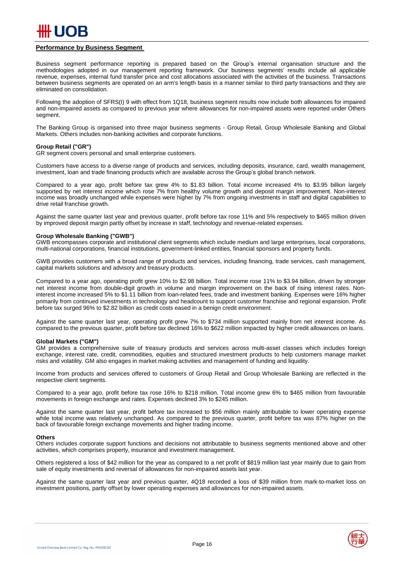

### **Performance by Business Segment**

Business segment performance reporting is prepared based on the Group's internal organisation structure and the methodologies adopted in our management reporting framework. Our business segments' results include all applicable revenue, expenses, internal fund transfer price and cost allocations associated with the activities of the business. Transactions between business segments are operated on an arm's length basis in a manner similar to third party transactions and they are eliminated on consolidation.

Following the adoption of SFRS(I) 9 with effect from 1Q18, business segment results now include both allowances for impaired and non-impaired assets as compared to previous year where allowances for non-impaired assets were reported under Others segment.

The Banking Group is organised into three major business segments - Group Retail, Group Wholesale Banking and Global Markets. Others includes non-banking activities and corporate functions.

#### **Group Retail ("GR")**

GR segment covers personal and small enterprise customers.

Customers have access to a diverse range of products and services, including deposits, insurance, card, wealth management, investment, loan and trade financing products which are available across the Group's global branch network.

Compared to a year ago, profit before tax grew 4% to \$1.83 billion. Total income increased 4% to \$3.95 billion largely supported by net interest income which rose 7% from healthy volume growth and deposit margin improvement. Non-interest income was broadly unchanged while expenses were higher by 7% from ongoing investments in staff and digital capabilities to drive retail franchise growth.

Against the same quarter last year and previous quarter, profit before tax rose 11% and 5% respectively to \$465 million driven by improved deposit margin partly offset by increase in staff, technology and revenue-related expenses.

### **Group Wholesale Banking ("GWB")**

GWB encompasses corporate and institutional client segments which include medium and large enterprises, local corporations, multi-national corporations, financial institutions, government-linked entities, financial sponsors and property funds.

GWB provides customers with a broad range of products and services, including financing, trade services, cash management, capital markets solutions and advisory and treasury products.

Compared to a year ago, operating profit grew 10% to \$2.98 billion. Total income rose 11% to \$3.94 billion, driven by stronger net interest income from double-digit growth in volume and margin improvement on the back of rising interest rates. Noninterest income increased 5% to \$1.11 billion from loan-related fees, trade and investment banking. Expenses were 16% higher primarily from continued investments in technology and headcount to support customer franchise and regional expansion. Profit before tax surged 96% to \$2.82 billion as credit costs eased in a benign credit environment.

Against the same quarter last year, operating profit grew 7% to \$734 million supported mainly from net interest income. As compared to the previous quarter, profit before tax declined 16% to \$622 million impacted by higher credit allowances on loans.

#### **Global Markets ("GM")**

GM provides a comprehensive suite of treasury products and services across multi-asset classes which includes foreign exchange, interest rate, credit, commodities, equities and structured investment products to help customers manage market risks and volatility. GM also engages in market making activities and management of funding and liquidity.

Income from products and services offered to customers of Group Retail and Group Wholesale Banking are reflected in the respective client segments.

Compared to a year ago, profit before tax rose 16% to \$218 million. Total income grew 6% to \$465 million from favourable movements in foreign exchange and rates. Expenses declined 3% to \$245 million.

Against the same quarter last year, profit before tax increased to \$56 million mainly attributable to lower operating expense while total income was relatively unchanged. As compared to the previous quarter, profit before tax was 87% higher on the back of favourable foreign exchange movements and higher trading income.

#### **Others**

Others includes corporate support functions and decisions not attributable to business segments mentioned above and other activities, which comprises property, insurance and investment management.

Others registered a loss of \$42 million for the year as compared to a net profit of \$819 million last year mainly due to gain from sale of equity investments and reversal of allowances for non-impaired assets last year.

Against the same quarter last year and previous quarter, 4Q18 recorded a loss of \$39 million from mark-to-market loss on investment positions, partly offset by lower operating expenses and allowances for non-impaired assets.

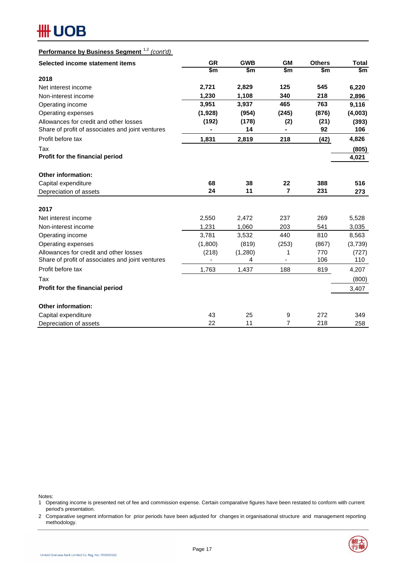## **HH UOB**

## **Performance by Business Segment** 1,2 *(cont'd)*

| Selected income statement items                  | <b>GR</b> | <b>GWB</b> | <b>GM</b> | <b>Others</b> | <b>Total</b> |
|--------------------------------------------------|-----------|------------|-----------|---------------|--------------|
| 2018                                             | \$m       | \$m        | \$m       | \$m           | \$m          |
| Net interest income                              | 2,721     | 2,829      | 125       | 545           | 6,220        |
| Non-interest income                              | 1,230     | 1,108      | 340       | 218           | 2,896        |
| Operating income                                 | 3,951     | 3,937      | 465       | 763           | 9,116        |
| Operating expenses                               | (1,928)   | (954)      | (245)     | (876)         | (4,003)      |
| Allowances for credit and other losses           | (192)     | (178)      | (2)       | (21)          | (393)        |
| Share of profit of associates and joint ventures |           | 14         |           | 92            | 106          |
| Profit before tax                                | 1,831     | 2,819      | 218       | (42)          | 4,826        |
| Tax                                              |           |            |           |               | (805)        |
| Profit for the financial period                  |           |            |           |               | 4,021        |
|                                                  |           |            |           |               |              |
| <b>Other information:</b>                        |           |            |           |               |              |
| Capital expenditure                              | 68        | 38         | 22        | 388           | 516          |
| Depreciation of assets                           | 24        | 11         | 7         | 231           | 273          |
|                                                  |           |            |           |               |              |
| 2017                                             |           |            |           |               |              |
| Net interest income                              | 2,550     | 2,472      | 237       | 269           | 5,528        |
| Non-interest income                              | 1,231     | 1,060      | 203       | 541           | 3,035        |
| Operating income                                 | 3,781     | 3,532      | 440       | 810           | 8,563        |
| Operating expenses                               | (1,800)   | (819)      | (253)     | (867)         | (3,739)      |
| Allowances for credit and other losses           | (218)     | (1,280)    | 1         | 770           | (727)        |
| Share of profit of associates and joint ventures |           | 4          |           | 106           | 110          |
| Profit before tax                                | 1,763     | 1,437      | 188       | 819           | 4,207        |
| Tax                                              |           |            |           |               | (800)        |
| Profit for the financial period                  |           |            |           |               | 3,407        |
| <b>Other information:</b>                        |           |            |           |               |              |
| Capital expenditure                              | 43        | 25         | 9         | 272           | 349          |
| Depreciation of assets                           | 22        | 11         | 7         | 218           | 258          |

Notes:

2 Comparative segment information for prior periods have been adjusted for changes in organisational structure and management reporting methodology.



<sup>1</sup> Operating income is presented net of fee and commission expense. Certain comparative figures have been restated to conform with current period's presentation.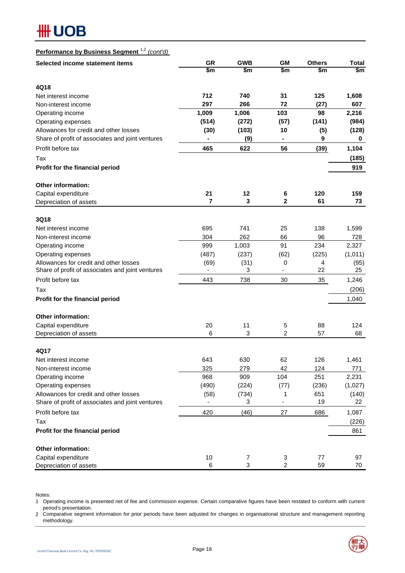## **HH UOB**

| Performance by Business Segment <sup>1,2</sup> (cont'd) |
|---------------------------------------------------------|
|---------------------------------------------------------|

| Selected income statement items                                                            | <b>GR</b>      | <b>GWB</b> | <b>GM</b>                 | <b>Others</b> | <b>Total</b> |
|--------------------------------------------------------------------------------------------|----------------|------------|---------------------------|---------------|--------------|
|                                                                                            | \$m            | \$m        | \$m                       | \$m           | \$m          |
| 4Q18                                                                                       |                |            |                           |               |              |
| Net interest income                                                                        | 712            | 740        | 31                        | 125           | 1,608        |
| Non-interest income                                                                        | 297            | 266        | 72                        | (27)          | 607          |
| Operating income                                                                           | 1,009          | 1,006      | 103                       | 98            | 2,216        |
| Operating expenses                                                                         | (514)          | (272)      | (57)                      | (141)         | (984)        |
| Allowances for credit and other losses                                                     | (30)           | (103)      | 10                        | (5)           | (128)        |
| Share of profit of associates and joint ventures                                           |                | (9)        |                           | 9             | 0            |
| Profit before tax                                                                          | 465            | 622        | 56                        | (39)          | 1,104        |
| Tax                                                                                        |                |            |                           |               | (185)        |
| Profit for the financial period                                                            |                |            |                           |               | 919          |
| Other information:                                                                         |                |            |                           |               |              |
| Capital expenditure                                                                        | 21             | 12         | 6                         | 120           | 159          |
| Depreciation of assets                                                                     | 7              | 3          | 2                         | 61            | 73           |
|                                                                                            |                |            |                           |               |              |
| 3Q18                                                                                       |                |            |                           |               |              |
| Net interest income                                                                        | 695            | 741        | 25                        | 138           | 1,599        |
| Non-interest income                                                                        | 304            | 262        | 66                        | 96            | 728          |
| Operating income                                                                           | 999            | 1,003      | 91                        | 234           | 2,327        |
| Operating expenses                                                                         | (487)          | (237)      | (62)                      | (225)         | (1,011)      |
| Allowances for credit and other losses<br>Share of profit of associates and joint ventures | (69)           | (31)<br>3  | 0                         | 4<br>22       | (95)<br>25   |
| Profit before tax                                                                          | 443            | 738        | 30                        | 35            | 1,246        |
| Tax                                                                                        |                |            |                           |               | (206)        |
| Profit for the financial period                                                            |                |            |                           |               | 1,040        |
| <b>Other information:</b>                                                                  |                |            |                           |               |              |
| Capital expenditure                                                                        | 20             | 11         | 5                         | 88            | 124          |
| Depreciation of assets                                                                     | 6              | 3          | $\overline{c}$            | 57            | 68           |
| 4Q17                                                                                       |                |            |                           |               |              |
| Net interest income                                                                        | 643            | 630        | 62                        | 126           | 1,461        |
| Non-interest income                                                                        | 325            | 279        | 42                        | 124           | 771          |
| Operating income                                                                           | 968            | 909        | 104                       | 251           | 2,231        |
| Operating expenses                                                                         | (490)          | (224)      | (77)                      | (236)         | (1,027)      |
| Allowances for credit and other losses                                                     | (58)           | (734)      | 1                         | 651           | (140)        |
| Share of profit of associates and joint ventures                                           | $\blacksquare$ | 3          | $\overline{\phantom{0}}$  | 19            | 22           |
| Profit before tax                                                                          | 420            | (46)       | 27                        | 686           | 1,087        |
| Tax                                                                                        |                |            |                           |               | (226)        |
| Profit for the financial period                                                            |                |            |                           |               | 861          |
| Other information:                                                                         |                |            |                           |               |              |
| Capital expenditure                                                                        | 10             | 7          | $\ensuremath{\mathsf{3}}$ | 77            | 97           |
| Depreciation of assets                                                                     | 6              | 3          | 2                         | 59            | 70           |

Notes:

1 Operating income is presented net of fee and commission expense. Certain comparative figures have been restated to conform with current period's presentation.

2 Comparative segment information for prior periods have been adjusted for changes in organisational structure and management reporting methodology.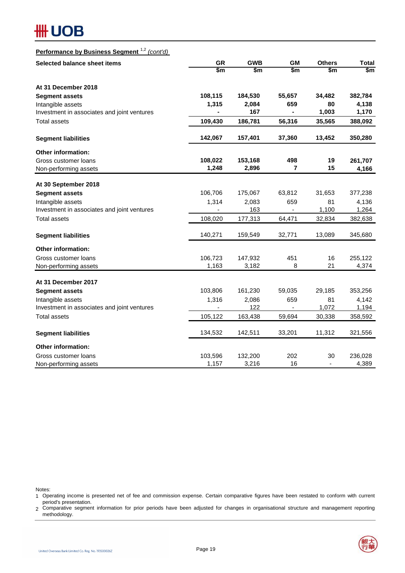## **## UOB**

## **Performance by Business Segment** 1,2 *(cont'd)*

| Selected balance sheet items                | <b>GR</b> | <b>GWB</b> | <b>GM</b>                | <b>Others</b>  | <b>Total</b> |
|---------------------------------------------|-----------|------------|--------------------------|----------------|--------------|
|                                             | \$m       | \$m        | \$m                      | \$m            | \$m          |
| At 31 December 2018                         |           |            |                          |                |              |
| <b>Segment assets</b>                       | 108,115   | 184,530    | 55,657                   | 34,482         | 382,784      |
| Intangible assets                           | 1,315     | 2,084      | 659                      | 80             | 4,138        |
| Investment in associates and joint ventures |           | 167        | $\blacksquare$           | 1,003          | 1,170        |
| Total assets                                | 109,430   | 186,781    | 56,316                   | 35,565         | 388,092      |
| <b>Segment liabilities</b>                  | 142,067   | 157,401    | 37,360                   | 13,452         | 350,280      |
| <b>Other information:</b>                   |           |            |                          |                |              |
| Gross customer loans                        | 108,022   | 153,168    | 498                      | 19             | 261,707      |
| Non-performing assets                       | 1,248     | 2,896      | 7                        | 15             | 4,166        |
| At 30 September 2018                        |           |            |                          |                |              |
| <b>Segment assets</b>                       | 106,706   | 175,067    | 63,812                   | 31,653         | 377,238      |
| Intangible assets                           | 1,314     | 2,083      | 659                      | 81             | 4,136        |
| Investment in associates and joint ventures |           | 163        | $\overline{\phantom{a}}$ | 1,100          | 1,264        |
| <b>Total assets</b>                         | 108,020   | 177,313    | 64,471                   | 32,834         | 382,638      |
| <b>Segment liabilities</b>                  | 140,271   | 159,549    | 32,771                   | 13,089         | 345,680      |
| <b>Other information:</b>                   |           |            |                          |                |              |
| Gross customer loans                        | 106,723   | 147,932    | 451                      | 16             | 255,122      |
| Non-performing assets                       | 1,163     | 3,182      | 8                        | 21             | 4,374        |
| At 31 December 2017                         |           |            |                          |                |              |
| <b>Segment assets</b>                       | 103,806   | 161,230    | 59,035                   | 29,185         | 353,256      |
| Intangible assets                           | 1,316     | 2,086      | 659                      | 81             | 4,142        |
| Investment in associates and joint ventures |           | 122        | $\blacksquare$           | 1,072          | 1,194        |
| <b>Total assets</b>                         | 105,122   | 163,438    | 59,694                   | 30,338         | 358,592      |
| <b>Segment liabilities</b>                  | 134,532   | 142,511    | 33,201                   | 11,312         | 321,556      |
| <b>Other information:</b>                   |           |            |                          |                |              |
| Gross customer loans                        | 103,596   | 132,200    | 202                      | 30             | 236,028      |
| Non-performing assets                       | 1,157     | 3,216      | 16                       | $\blacksquare$ | 4,389        |

Notes:

- 1 Operating income is presented net of fee and commission expense. Certain comparative figures have been restated to conform with current period's presentation.
- 2 Comparative segment information for prior periods have been adjusted for changes in organisational structure and management reporting methodology.

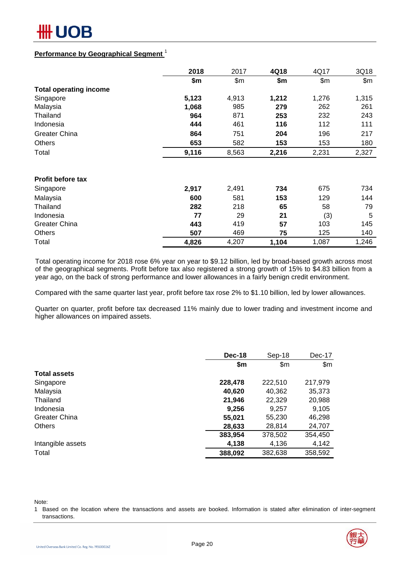

## **Performance by Geographical Segment** <sup>1</sup>

|                               | 2018  | 2017  | 4Q18  | 4Q17  | 3Q18  |
|-------------------------------|-------|-------|-------|-------|-------|
|                               | \$m\$ | \$m\$ | \$m   | \$m\$ | \$m\$ |
| <b>Total operating income</b> |       |       |       |       |       |
| Singapore                     | 5,123 | 4,913 | 1,212 | 1,276 | 1,315 |
| Malaysia                      | 1,068 | 985   | 279   | 262   | 261   |
| Thailand                      | 964   | 871   | 253   | 232   | 243   |
| Indonesia                     | 444   | 461   | 116   | 112   | 111   |
| <b>Greater China</b>          | 864   | 751   | 204   | 196   | 217   |
| <b>Others</b>                 | 653   | 582   | 153   | 153   | 180   |
| Total                         | 9,116 | 8,563 | 2,216 | 2,231 | 2,327 |
|                               |       |       |       |       |       |
| <b>Profit before tax</b>      |       |       |       |       |       |
| Singapore                     | 2,917 | 2,491 | 734   | 675   | 734   |
| Malaysia                      | 600   | 581   | 153   | 129   | 144   |
| Thailand                      | 282   | 218   | 65    | 58    | 79    |
| Indonesia                     | 77    | 29    | 21    | (3)   | 5     |
| <b>Greater China</b>          | 443   | 419   | 57    | 103   | 145   |
| <b>Others</b>                 | 507   | 469   | 75    | 125   | 140   |
| Total                         | 4,826 | 4,207 | 1,104 | 1,087 | 1,246 |

Total operating income for 2018 rose 6% year on year to \$9.12 billion, led by broad-based growth across most of the geographical segments. Profit before tax also registered a strong growth of 15% to \$4.83 billion from a year ago, on the back of strong performance and lower allowances in a fairly benign credit environment.

Compared with the same quarter last year, profit before tax rose 2% to \$1.10 billion, led by lower allowances.

Quarter on quarter, profit before tax decreased 11% mainly due to lower trading and investment income and higher allowances on impaired assets.

|                      | Dec-18  | Sep-18  | Dec-17  |
|----------------------|---------|---------|---------|
|                      | \$m     | \$m\$   | \$m\$   |
| <b>Total assets</b>  |         |         |         |
| Singapore            | 228,478 | 222,510 | 217,979 |
| Malaysia             | 40,620  | 40,362  | 35,373  |
| Thailand             | 21,946  | 22,329  | 20,988  |
| Indonesia            | 9,256   | 9,257   | 9,105   |
| <b>Greater China</b> | 55,021  | 55,230  | 46,298  |
| <b>Others</b>        | 28,633  | 28,814  | 24,707  |
|                      | 383,954 | 378,502 | 354,450 |
| Intangible assets    | 4,138   | 4,136   | 4,142   |
| Total                | 388,092 | 382,638 | 358,592 |

Note:

1 Based on the location where the transactions and assets are booked. Information is stated after elimination of inter-segment transactions.

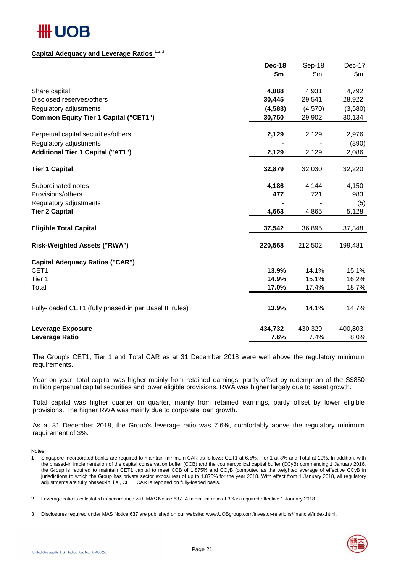# ## UOB

## **Capital Adequacy and Leverage Ratios** 1,2,3

|                                                         | <b>Dec-18</b> | Sep-18  | Dec-17  |
|---------------------------------------------------------|---------------|---------|---------|
|                                                         | \$m           | \$m     | \$m\$   |
| Share capital                                           | 4,888         | 4,931   | 4,792   |
| Disclosed reserves/others                               | 30,445        | 29,541  | 28,922  |
| Regulatory adjustments                                  | (4, 583)      | (4,570) | (3,580) |
| <b>Common Equity Tier 1 Capital ("CET1")</b>            | 30,750        | 29,902  | 30,134  |
| Perpetual capital securities/others                     | 2,129         | 2,129   | 2,976   |
| Regulatory adjustments                                  |               |         | (890)   |
| <b>Additional Tier 1 Capital ("AT1")</b>                | 2,129         | 2,129   | 2,086   |
| <b>Tier 1 Capital</b>                                   | 32,879        | 32,030  | 32,220  |
| Subordinated notes                                      | 4,186         | 4,144   | 4,150   |
| Provisions/others                                       | 477           | 721     | 983     |
| Regulatory adjustments                                  |               |         | (5)     |
| <b>Tier 2 Capital</b>                                   | 4,663         | 4,865   | 5,128   |
| <b>Eligible Total Capital</b>                           | 37,542        | 36,895  | 37,348  |
| <b>Risk-Weighted Assets ("RWA")</b>                     | 220,568       | 212,502 | 199,481 |
| <b>Capital Adequacy Ratios ("CAR")</b>                  |               |         |         |
| CET <sub>1</sub>                                        | 13.9%         | 14.1%   | 15.1%   |
| Tier 1                                                  | 14.9%         | 15.1%   | 16.2%   |
| Total                                                   | 17.0%         | 17.4%   | 18.7%   |
| Fully-loaded CET1 (fully phased-in per Basel III rules) | 13.9%         | 14.1%   | 14.7%   |
| <b>Leverage Exposure</b>                                | 434,732       | 430,329 | 400,803 |
| Leverage Ratio                                          | 7.6%          | 7.4%    | 8.0%    |

The Group's CET1, Tier 1 and Total CAR as at 31 December 2018 were well above the regulatory minimum requirements.

Year on year, total capital was higher mainly from retained earnings, partly offset by redemption of the S\$850 million perpetual capital securities and lower eligible provisions. RWA was higher largely due to asset growth.

Total capital was higher quarter on quarter, mainly from retained earnings, partly offset by lower eligible provisions. The higher RWA was mainly due to corporate loan growth.

As at 31 December 2018, the Group's leverage ratio was 7.6%, comfortably above the regulatory minimum requirement of 3%.

Notes:

<sup>3</sup> Disclosures required under MAS Notice 637 are published on our website: www.UOBgroup.com/investor-relations/financial/index.html.



<sup>1</sup> Singapore-incorporated banks are required to maintain minimum CAR as follows: CET1 at 6.5%, Tier 1 at 8% and Total at 10%. In addition, with the phased-in implementation of the capital conservation buffer (CCB) and the countercyclical capital buffer (CCyB) commencing 1 January 2016, the Group is required to maintain CET1 capital to meet CCB of 1.875% and CCyB (computed as the weighted average of effective CCyB in jurisdictions to which the Group has private sector exposures) of up to 1.875% for the year 2018. With effect from 1 January 2018, all regulatory adjustments are fully phased-in, i.e., CET1 CAR is reported on fully-loaded basis.

<sup>2</sup> Leverage ratio is calculated in accordance with MAS Notice 637. A minimum ratio of 3% is required effective 1 January 2018.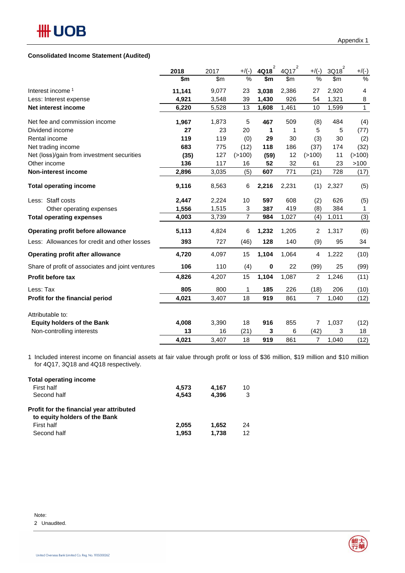|                                                  | 2018   | 2017  | $+$ /(-)       | 4Q18  | 4Q17  | $+$ /(-)       | $3Q18^2$ | $+/(-)$       |
|--------------------------------------------------|--------|-------|----------------|-------|-------|----------------|----------|---------------|
|                                                  | \$m    | \$m   | %              | \$m   | \$m\$ | %              | \$m      | $\frac{9}{6}$ |
| Interest income <sup>1</sup>                     | 11,141 | 9,077 | 23             | 3,038 | 2,386 | 27             | 2,920    | 4             |
| Less: Interest expense                           | 4,921  | 3,548 | 39             | 1,430 | 926   | 54             | 1,321    | 8             |
| Net interest income                              | 6,220  | 5,528 | 13             | 1,608 | 1,461 | 10             | 1,599    | $\mathbf{1}$  |
| Net fee and commission income                    | 1,967  | 1,873 | 5              | 467   | 509   | (8)            | 484      | (4)           |
| Dividend income                                  | 27     | 23    | 20             | 1     | 1     | 5              | 5        | (77)          |
| Rental income                                    | 119    | 119   | (0)            | 29    | 30    | (3)            | 30       | (2)           |
| Net trading income                               | 683    | 775   | (12)           | 118   | 186   | (37)           | 174      | (32)          |
| Net (loss)/gain from investment securities       | (35)   | 127   | (>100)         | (59)  | 12    | (>100)         | 11       | (>100)        |
| Other income                                     | 136    | 117   | 16             | 52    | 32    | 61             | 23       | >100          |
| <b>Non-interest income</b>                       | 2,896  | 3,035 | (5)            | 607   | 771   | (21)           | 728      | (17)          |
| <b>Total operating income</b>                    | 9,116  | 8,563 | 6              | 2,216 | 2,231 | (1)            | 2,327    | (5)           |
| Less: Staff costs                                | 2,447  | 2,224 | 10             | 597   | 608   | (2)            | 626      | (5)           |
| Other operating expenses                         | 1,556  | 1,515 | 3              | 387   | 419   | (8)            | 384      | 1             |
| <b>Total operating expenses</b>                  | 4,003  | 3,739 | $\overline{7}$ | 984   | 1,027 | (4)            | 1,011    | (3)           |
| Operating profit before allowance                | 5,113  | 4,824 | 6              | 1,232 | 1,205 | $\overline{2}$ | 1,317    | (6)           |
| Less: Allowances for credit and other losses     | 393    | 727   | (46)           | 128   | 140   | (9)            | 95       | 34            |
| <b>Operating profit after allowance</b>          | 4,720  | 4,097 | 15             | 1,104 | 1,064 | 4              | 1,222    | (10)          |
| Share of profit of associates and joint ventures | 106    | 110   | (4)            | 0     | 22    | (99)           | 25       | (99)          |
| <b>Profit before tax</b>                         | 4,826  | 4,207 | 15             | 1,104 | 1,087 | $\overline{c}$ | 1,246    | (11)          |
| Less: Tax                                        | 805    | 800   | 1              | 185   | 226   | (18)           | 206      | (10)          |
| Profit for the financial period                  | 4,021  | 3,407 | 18             | 919   | 861   | $\overline{7}$ | 1,040    | (12)          |
| Attributable to:                                 |        |       |                |       |       |                |          |               |
| <b>Equity holders of the Bank</b>                | 4,008  | 3,390 | 18             | 916   | 855   | 7              | 1,037    | (12)          |
| Non-controlling interests                        | 13     | 16    | (21)           | 3     | 6     | (42)           | 3        | 18            |
|                                                  | 4,021  | 3,407 | 18             | 919   | 861   | $\overline{7}$ | 1,040    | (12)          |

1 Included interest income on financial assets at fair value through profit or loss of \$36 million, \$19 million and \$10 million for 4Q17, 3Q18 and 4Q18 respectively.

| Total operating income                   |       |       |    |
|------------------------------------------|-------|-------|----|
| First half                               | 4.573 | 4.167 | 10 |
| Second half                              | 4.543 | 4.396 | 3  |
| Profit for the financial year attributed |       |       |    |
| to equity holders of the Bank            |       |       |    |
| First half                               | 2.055 | 1.652 | 24 |
| Second half                              | 1.953 | 1.738 | 12 |
|                                          |       |       |    |



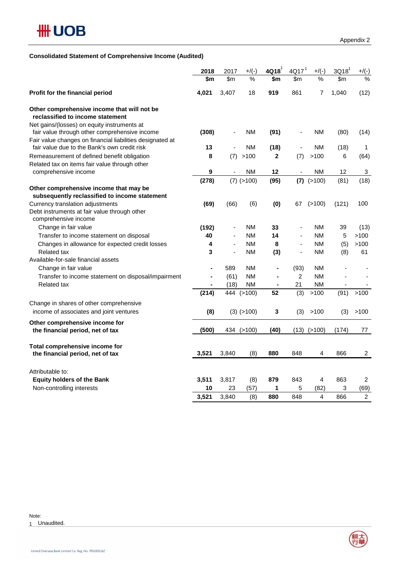## **Consolidated Statement of Comprehensive Income (Audited)**

|                                                                                                           | 2018           | 2017                     | $+$ /(-)         | 4Q18           | 4Q17 <sup>1</sup>        | $+$ /(-)        | 3Q18 <sup>1</sup> | $+/(-)$        |
|-----------------------------------------------------------------------------------------------------------|----------------|--------------------------|------------------|----------------|--------------------------|-----------------|-------------------|----------------|
|                                                                                                           | \$m            | \$m\$                    | %                | \$m            | \$m                      | %               | \$m               | %              |
| Profit for the financial period                                                                           | 4,021          | 3,407                    | 18               | 919            | 861                      | 7               | 1,040             | (12)           |
| Other comprehensive income that will not be<br>reclassified to income statement                           |                |                          |                  |                |                          |                 |                   |                |
| Net gains/(losses) on equity instruments at<br>fair value through other comprehensive income              | (308)          | ä,                       | <b>NM</b>        | (91)           |                          | <b>NM</b>       | (80)              | (14)           |
| Fair value changes on financial liabilities designated at<br>fair value due to the Bank's own credit risk | 13             |                          | <b>NM</b>        | (18)           |                          | <b>NM</b>       | (18)              | 1              |
| Remeasurement of defined benefit obligation                                                               | 8              | (7)                      | >100             | $\mathbf{2}$   | (7)                      | >100            | 6                 | (64)           |
| Related tax on items fair value through other                                                             |                |                          |                  |                |                          |                 |                   |                |
| comprehensive income                                                                                      | 9              | $\overline{\phantom{a}}$ | <b>NM</b>        | 12             | $\overline{\phantom{a}}$ | <b>NM</b>       | 12                | 3              |
| Other comprehensive income that may be                                                                    | (278)          |                          | $(7)$ ( $>100$ ) | (95)           |                          | $(7)$ (>100)    | (81)              | (18)           |
| subsequently reclassified to income statement                                                             |                |                          |                  |                |                          |                 |                   |                |
| Currency translation adjustments                                                                          | (69)           | (66)                     | (6)              | (0)            | 67                       | (>100)          | (121)             | 100            |
| Debt instruments at fair value through other                                                              |                |                          |                  |                |                          |                 |                   |                |
| comprehensive income                                                                                      |                |                          |                  |                |                          |                 |                   |                |
| Change in fair value                                                                                      | (192)          | $\overline{\phantom{a}}$ | <b>NM</b>        | 33             | ÷                        | <b>NM</b>       | 39                | (13)           |
| Transfer to income statement on disposal                                                                  | 40             | $\blacksquare$           | <b>NM</b>        | 14             | ÷,                       | <b>NM</b>       | 5                 | >100           |
| Changes in allowance for expected credit losses                                                           | 4              | ÷,                       | <b>NM</b>        | 8              | $\overline{a}$           | ΝM              | (5)               | >100           |
| <b>Related tax</b>                                                                                        | 3              | $\blacksquare$           | <b>NM</b>        | (3)            | ÷,                       | ΝM              | (8)               | 61             |
| Available-for-sale financial assets                                                                       |                |                          |                  |                |                          |                 |                   |                |
| Change in fair value                                                                                      | ÷              | 589                      | <b>NM</b>        | $\blacksquare$ | (93)                     | ΝM              |                   |                |
| Transfer to income statement on disposal/impairment                                                       | $\blacksquare$ | (61)                     | <b>NM</b>        |                | $\overline{2}$           | <b>NM</b>       |                   |                |
| <b>Related tax</b>                                                                                        |                | (18)                     | <b>NM</b>        | $\blacksquare$ | 21                       | <b>NM</b>       |                   |                |
|                                                                                                           | (214)          | 444                      | (>100)           | 52             | (3)                      | >100            | (91)              | >100           |
| Change in shares of other comprehensive                                                                   |                |                          |                  |                |                          |                 |                   |                |
| income of associates and joint ventures                                                                   | (8)            |                          | $(3)$ $(>100)$   | 3              | (3)                      | >100            | (3)               | >100           |
| Other comprehensive income for                                                                            |                |                          |                  |                |                          |                 |                   |                |
| the financial period, net of tax                                                                          | (500)          |                          | 434 (>100)       | (40)           |                          | $(13)$ $(>100)$ | (174)             | 77             |
| Total comprehensive income for                                                                            |                |                          |                  |                |                          |                 |                   |                |
| the financial period, net of tax                                                                          | 3,521          | 3,840                    | (8)              | 880            | 848                      | 4               | 866               | 2              |
| Attributable to:                                                                                          |                |                          |                  |                |                          |                 |                   |                |
| <b>Equity holders of the Bank</b>                                                                         | 3,511          | 3,817                    | (8)              | 879            | 843                      | 4               | 863               | $\overline{2}$ |
| Non-controlling interests                                                                                 | 10             | 23                       | (57)             | 1              | 5                        | (82)            | 3                 | (69)           |
|                                                                                                           | 3,521          | 3.840                    | (8)              | 880            | 848                      | 4               | 866               | $\overline{2}$ |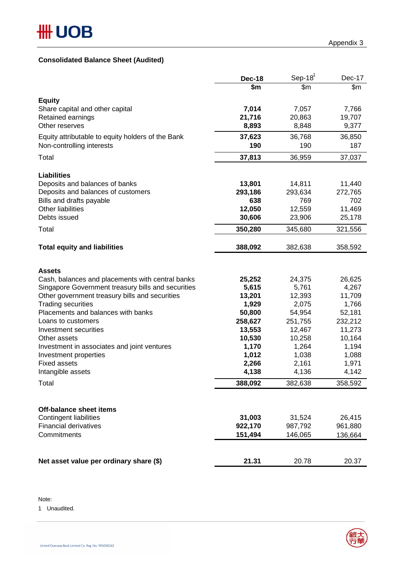## **Consolidated Balance Sheet (Audited)**

|                                                      | <b>Dec-18</b>     | $Sep-18$ <sup>1</sup> | Dec-17            |
|------------------------------------------------------|-------------------|-----------------------|-------------------|
|                                                      | \$m               | \$m                   | \$m\$             |
| <b>Equity</b>                                        |                   |                       |                   |
| Share capital and other capital                      | 7,014             | 7,057                 | 7,766             |
| Retained earnings                                    | 21,716            | 20,863                | 19,707            |
| Other reserves                                       | 8,893             | 8,848                 | 9,377             |
| Equity attributable to equity holders of the Bank    | 37,623            | 36,768                | 36,850            |
| Non-controlling interests                            | 190               | 190                   | 187               |
| Total                                                | 37,813            | 36,959                | 37,037            |
|                                                      |                   |                       |                   |
| <b>Liabilities</b><br>Deposits and balances of banks |                   |                       |                   |
| Deposits and balances of customers                   | 13,801<br>293,186 | 14,811<br>293,634     | 11,440<br>272,765 |
| Bills and drafts payable                             | 638               | 769                   | 702               |
| Other liabilities                                    | 12,050            | 12,559                | 11,469            |
| Debts issued                                         | 30,606            | 23,906                | 25,178            |
| Total                                                | 350,280           | 345,680               | 321,556           |
|                                                      |                   |                       |                   |
| <b>Total equity and liabilities</b>                  | 388,092           | 382,638               | 358,592           |
|                                                      |                   |                       |                   |
| <b>Assets</b>                                        |                   |                       |                   |
| Cash, balances and placements with central banks     | 25,252            | 24,375                | 26,625            |
| Singapore Government treasury bills and securities   | 5,615             | 5,761                 | 4,267             |
| Other government treasury bills and securities       | 13,201            | 12,393                | 11,709            |
| <b>Trading securities</b>                            | 1,929             | 2,075                 | 1,766             |
| Placements and balances with banks                   | 50,800            | 54,954                | 52,181            |
| Loans to customers                                   | 258,627           | 251,755               | 232,212           |
| Investment securities                                | 13,553            | 12,467                | 11,273            |
| Other assets                                         | 10,530            | 10,258                | 10,164            |
| Investment in associates and joint ventures          | 1,170             | 1,264                 | 1,194             |
| Investment properties                                | 1,012             | 1,038                 | 1,088             |
| <b>Fixed assets</b>                                  | 2,266<br>4,138    | 2,161                 | 1,971             |
| Intangible assets                                    |                   | 4,136                 | 4,142             |
| Total                                                | 388,092           | 382,638               | 358,592           |
|                                                      |                   |                       |                   |
| <b>Off-balance sheet items</b>                       |                   |                       |                   |
| <b>Contingent liabilities</b>                        | 31,003            | 31,524                | 26,415            |
| <b>Financial derivatives</b>                         | 922,170           | 987,792               | 961,880           |
| Commitments                                          | 151,494           | 146,065               | 136,664           |
|                                                      |                   |                       |                   |
| Net asset value per ordinary share (\$)              | 21.31             | 20.78                 | 20.37             |

Note:

1 Unaudited.

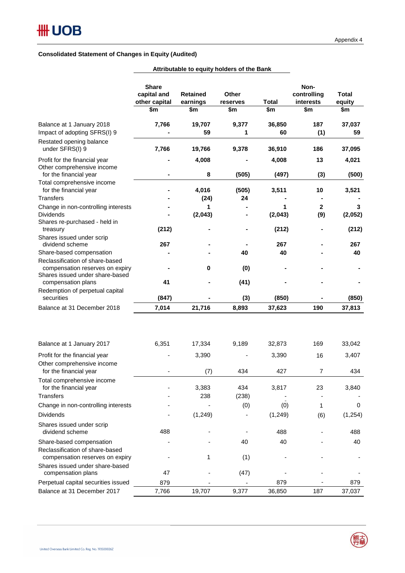## **Consolidated Statement of Changes in Equity (Audited)**

|                                                                                                       | <b>Share</b><br>capital and<br>other capital | <b>Retained</b><br>earnings | <b>Other</b><br>reserves | Total          | Non-<br>controlling<br>interests | Total<br>equity |
|-------------------------------------------------------------------------------------------------------|----------------------------------------------|-----------------------------|--------------------------|----------------|----------------------------------|-----------------|
|                                                                                                       | \$m                                          | \$m                         | \$m                      | \$m            | \$m                              | \$m             |
| Balance at 1 January 2018<br>Impact of adopting SFRS(I) 9                                             | 7,766                                        | 19,707<br>59                | 9,377<br>1               | 36,850<br>60   | 187<br>(1)                       | 37,037<br>59    |
| Restated opening balance<br>under SFRS(I) 9                                                           | 7,766                                        | 19,766                      | 9,378                    | 36,910         | 186                              | 37,095          |
| Profit for the financial year<br>Other comprehensive income                                           |                                              | 4,008<br>8                  |                          | 4,008          | 13                               | 4,021           |
| for the financial year<br>Total comprehensive income<br>for the financial year                        |                                              | 4,016                       | (505)<br>(505)           | (497)<br>3,511 | (3)<br>10                        | (500)<br>3,521  |
| <b>Transfers</b>                                                                                      |                                              | (24)                        | 24                       |                |                                  |                 |
| Change in non-controlling interests<br><b>Dividends</b>                                               |                                              | 1<br>(2,043)                |                          | 1<br>(2,043)   | $\mathbf{2}$<br>(9)              | 3<br>(2,052)    |
| Shares re-purchased - held in<br>treasury                                                             | (212)                                        |                             |                          | (212)          |                                  | (212)           |
| Shares issued under scrip<br>dividend scheme                                                          | 267                                          |                             |                          | 267            |                                  | 267             |
| Share-based compensation                                                                              |                                              |                             | 40                       | 40             |                                  | 40              |
| Reclassification of share-based<br>compensation reserves on expiry<br>Shares issued under share-based |                                              | 0                           | (0)                      |                |                                  |                 |
| compensation plans                                                                                    | 41                                           |                             | (41)                     |                |                                  |                 |
| Redemption of perpetual capital<br>securities                                                         | (847)                                        |                             | (3)                      | (850)          |                                  | (850)           |
| Balance at 31 December 2018                                                                           | 7,014                                        | 21,716                      | 8,893                    | 37,623         | 190                              | 37,813          |
|                                                                                                       |                                              |                             |                          |                |                                  |                 |
| Balance at 1 January 2017                                                                             | 6,351                                        | 17,334                      | 9,189                    | 32,873         | 169                              | 33,042          |
| Profit for the financial year                                                                         |                                              | 3,390                       |                          | 3,390          | 16                               | 3,407           |
| Other comprehensive income<br>for the financial year                                                  |                                              | (7)                         | 434                      | 427            | $\overline{7}$                   | 434             |
| Total comprehensive income<br>for the financial year                                                  |                                              | 3,383                       | 434                      | 3,817          | 23                               | 3,840           |
| <b>Transfers</b>                                                                                      |                                              | 238                         | (238)                    |                |                                  |                 |
| Change in non-controlling interests                                                                   |                                              |                             | (0)                      | (0)            | 1                                | 0               |
| <b>Dividends</b>                                                                                      |                                              | (1, 249)                    |                          | (1, 249)       | (6)                              | (1, 254)        |
| Shares issued under scrip<br>dividend scheme                                                          | 488                                          |                             |                          | 488            |                                  | 488             |
| Share-based compensation<br>Reclassification of share-based                                           |                                              |                             | 40                       | 40             |                                  | 40              |
| compensation reserves on expiry<br>Shares issued under share-based<br>compensation plans              | 47                                           | 1                           | (1)<br>(47)              |                |                                  |                 |
| Perpetual capital securities issued                                                                   | 879                                          |                             |                          | 879            |                                  | 879             |
| Balance at 31 December 2017                                                                           | 7,766                                        | 19,707                      | 9,377                    | 36,850         | 187                              | 37,037          |

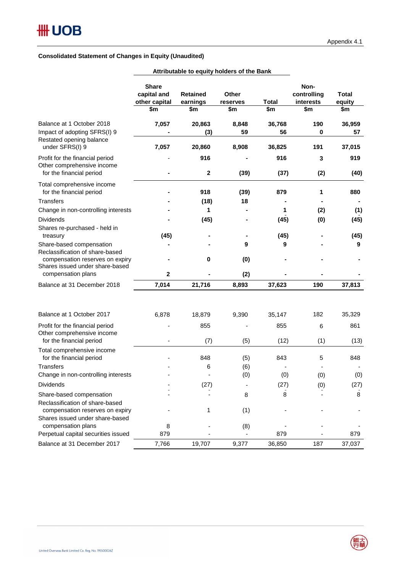## **Consolidated Statement of Changes in Equity (Unaudited)**

|                                                                                                       |                                                     | Attributable to equity holders of the Bank |                                 |                     |                                         |                               |
|-------------------------------------------------------------------------------------------------------|-----------------------------------------------------|--------------------------------------------|---------------------------------|---------------------|-----------------------------------------|-------------------------------|
|                                                                                                       | <b>Share</b><br>capital and<br>other capital<br>\$m | <b>Retained</b><br>earnings<br>\$m         | <b>Other</b><br>reserves<br>\$m | <b>Total</b><br>\$m | Non-<br>controlling<br>interests<br>\$m | <b>Total</b><br>equity<br>\$m |
| Balance at 1 October 2018                                                                             | 7,057                                               | 20,863                                     | 8,848                           | 36,768              | 190                                     | 36,959                        |
| Impact of adopting SFRS(I) 9                                                                          |                                                     | (3)                                        | 59                              | 56                  | 0                                       | 57                            |
| Restated opening balance<br>under SFRS(I) 9                                                           | 7,057                                               | 20,860                                     | 8,908                           | 36,825              | 191                                     | 37,015                        |
| Profit for the financial period<br>Other comprehensive income<br>for the financial period             |                                                     | 916<br>$\mathbf 2$                         | (39)                            | 916<br>(37)         | 3<br>(2)                                | 919<br>(40)                   |
| Total comprehensive income                                                                            |                                                     |                                            |                                 |                     |                                         |                               |
| for the financial period                                                                              |                                                     | 918                                        | (39)                            | 879                 | 1                                       | 880                           |
| <b>Transfers</b>                                                                                      |                                                     | (18)                                       | 18                              |                     |                                         |                               |
| Change in non-controlling interests                                                                   |                                                     | 1                                          |                                 | 1                   | (2)                                     | (1)                           |
| <b>Dividends</b>                                                                                      |                                                     | (45)                                       |                                 | (45)                | (0)                                     | (45)                          |
| Shares re-purchased - held in<br>treasury                                                             | (45)                                                |                                            |                                 | (45)                |                                         | (45)                          |
| Share-based compensation                                                                              |                                                     |                                            | 9                               | 9                   |                                         | 9                             |
| Reclassification of share-based<br>compensation reserves on expiry<br>Shares issued under share-based |                                                     | 0                                          | (0)                             |                     |                                         |                               |
| compensation plans                                                                                    | $\mathbf 2$                                         |                                            | (2)                             |                     |                                         |                               |
| Balance at 31 December 2018                                                                           | 7,014                                               | 21,716                                     | 8,893                           | 37,623              | 190                                     | 37,813                        |
| Balance at 1 October 2017                                                                             | 6,878                                               | 18,879                                     | 9,390                           | 35,147              | 182                                     | 35,329                        |
|                                                                                                       |                                                     |                                            |                                 |                     |                                         |                               |
| Profit for the financial period<br>Other comprehensive income                                         |                                                     | 855                                        |                                 | 855                 | 6                                       | 861                           |
| for the financial period                                                                              |                                                     | (7)                                        | (5)                             | (12)                | (1)                                     | (13)                          |
| Total comprehensive income<br>for the financial period                                                |                                                     | 848                                        | (5)                             | 843                 | 5                                       | 848                           |
| <b>Transfers</b>                                                                                      |                                                     | 6                                          | (6)                             |                     |                                         |                               |
| Change in non-controlling interests                                                                   |                                                     |                                            | (0)                             | (0)                 | (0)                                     | (0)                           |
| Dividends                                                                                             |                                                     | (27)                                       |                                 | (27)                | (0)                                     | (27)                          |
| Share-based compensation                                                                              |                                                     |                                            | 8                               | 8                   |                                         | 8                             |
| Reclassification of share-based<br>compensation reserves on expiry<br>Shares issued under share-based |                                                     | 1                                          | (1)                             |                     |                                         |                               |
| compensation plans                                                                                    | 8                                                   |                                            | (8)                             |                     |                                         |                               |
| Perpetual capital securities issued                                                                   | 879                                                 |                                            |                                 | 879                 |                                         | 879                           |
| Balance at 31 December 2017                                                                           | 7,766                                               | 19,707                                     | 9,377                           | 36,850              | 187                                     | 37,037                        |

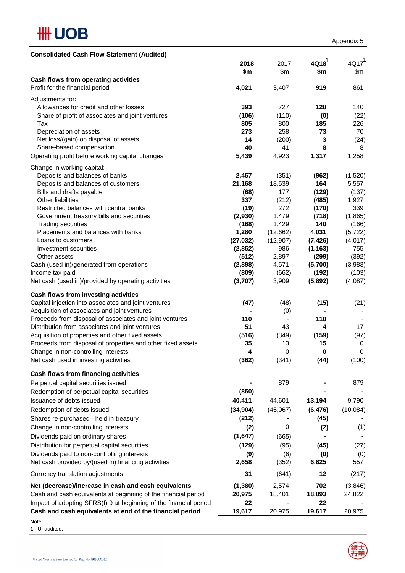

| <b>Consolidated Cash Flow Statement (Audited)</b>                 |           |                |          |                   |
|-------------------------------------------------------------------|-----------|----------------|----------|-------------------|
|                                                                   | 2018      | 2017           | 4Q18     | $\sqrt{4Q17}^{1}$ |
|                                                                   | \$m       | \$m            | \$m      | \$m               |
| Cash flows from operating activities                              |           |                |          |                   |
| Profit for the financial period                                   | 4,021     | 3,407          | 919      | 861               |
| Adjustments for:                                                  |           |                |          |                   |
| Allowances for credit and other losses                            | 393       | 727            | 128      | 140               |
| Share of profit of associates and joint ventures                  | (106)     | (110)          | (0)      | (22)              |
| Tax                                                               | 805       | 800            | 185      | 226               |
| Depreciation of assets                                            | 273       | 258            | 73       | 70                |
| Net loss/(gain) on disposal of assets                             | 14        | (200)          | 3        | (24)              |
| Share-based compensation                                          | 40        | 41             | 8        | 8                 |
| Operating profit before working capital changes                   | 5,439     | 4,923          | 1,317    | 1,258             |
| Change in working capital:                                        |           |                |          |                   |
| Deposits and balances of banks                                    | 2,457     | (351)          | (962)    | (1,520)           |
| Deposits and balances of customers                                | 21,168    | 18,539         | 164      | 5,557             |
| Bills and drafts payable                                          | (68)      | 177            | (129)    | (137)             |
| Other liabilities                                                 | 337       | (212)          | (485)    | 1,927             |
| Restricted balances with central banks                            | (19)      | 272            | (170)    | 339               |
| Government treasury bills and securities                          | (2,930)   | 1,479          | (718)    | (1,865)           |
| <b>Trading securities</b>                                         | (168)     | 1,429          | 140      | (166)             |
| Placements and balances with banks                                | 1,280     | (12,662)       | 4,031    | (5, 722)          |
| Loans to customers                                                | (27, 032) | (12, 907)      | (7, 426) | (4,017)           |
| Investment securities                                             | (2, 852)  | 986            | (1, 163) | 755               |
| Other assets                                                      | (512)     | 2,897          | (299)    | (392)             |
| Cash (used in)/generated from operations                          | (2,898)   | 4,571          | (5,700)  | (3,983)           |
| Income tax paid                                                   | (809)     | (662)          | (192)    | (103)             |
| Net cash (used in)/provided by operating activities               | (3,707)   | 3,909          | (5,892)  | (4,087)           |
| Cash flows from investing activities                              |           |                |          |                   |
| Capital injection into associates and joint ventures              | (47)      | (48)           | (15)     | (21)              |
| Acquisition of associates and joint ventures                      |           | (0)            |          |                   |
| Proceeds from disposal of associates and joint ventures           | 110       | $\blacksquare$ | 110      |                   |
| Distribution from associates and joint ventures                   | 51        | 43             | 4        | 17                |
| Acquisition of properties and other fixed assets                  | (516)     | (349)          | (159)    | (97)              |
| Proceeds from disposal of properties and other fixed assets       | 35        | 13             | 15       | 0                 |
| Change in non-controlling interests                               | 4         | 0              | $\bf{0}$ | 0                 |
| Net cash used in investing activities                             | (362)     | (341)          | (44)     | (100)             |
| Cash flows from financing activities                              |           |                |          |                   |
| Perpetual capital securities issued                               |           | 879            |          | 879               |
| Redemption of perpetual capital securities                        | (850)     |                |          |                   |
| Issuance of debts issued                                          | 40,411    | 44,601         | 13,194   | 9,790             |
| Redemption of debts issued                                        | (34, 904) | (45,067)       | (6, 476) |                   |
|                                                                   |           |                |          | (10,084)          |
| Shares re-purchased - held in treasury                            | (212)     |                | (45)     |                   |
| Change in non-controlling interests                               | (2)       | 0              | (2)      | (1)               |
| Dividends paid on ordinary shares                                 | (1,647)   | (665)          |          |                   |
| Distribution for perpetual capital securities                     | (129)     | (95)           | (45)     | (27)              |
| Dividends paid to non-controlling interests                       | (9)       | (6)            | (0)      | (0)               |
| Net cash provided by/(used in) financing activities               | 2,658     | (352)          | 6,625    | 557               |
| Currency translation adjustments                                  | 31        | (641)          | 12       | (217)             |
| Net (decrease)/increase in cash and cash equivalents              | (1, 380)  | 2,574          | 702      | (3,846)           |
| Cash and cash equivalents at beginning of the financial period    | 20,975    | 18,401         | 18,893   | 24,822            |
| Impact of adopting SFRS(I) 9 at beginning of the financial period | 22        |                | 22       |                   |
| Cash and cash equivalents at end of the financial period          | 19,617    | 20,975         | 19,617   | 20,975            |

Note:

1 Unaudited.

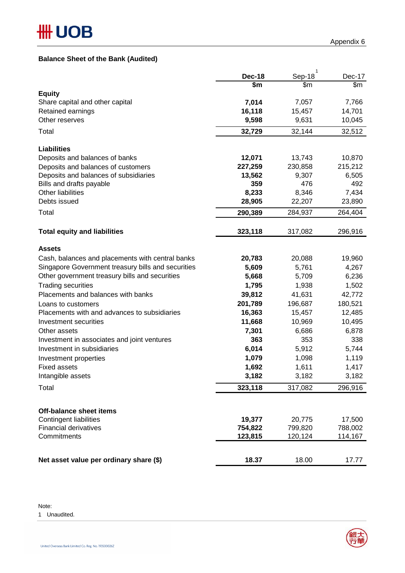## **Balance Sheet of the Bank (Audited)**

|                                                    | <b>Dec-18</b> | $\mathbf{1}$<br>Sep-18 | Dec-17  |
|----------------------------------------------------|---------------|------------------------|---------|
|                                                    | \$m           | \$m                    | \$m     |
| <b>Equity</b>                                      |               |                        |         |
| Share capital and other capital                    | 7,014         | 7,057                  | 7,766   |
| Retained earnings                                  | 16,118        | 15,457                 | 14,701  |
| Other reserves                                     | 9,598         | 9,631                  | 10,045  |
| Total                                              | 32,729        | 32,144                 | 32,512  |
| <b>Liabilities</b>                                 |               |                        |         |
| Deposits and balances of banks                     | 12,071        | 13,743                 | 10,870  |
| Deposits and balances of customers                 | 227,259       | 230,858                | 215,212 |
| Deposits and balances of subsidiaries              | 13,562        | 9,307                  | 6,505   |
| Bills and drafts payable                           | 359           | 476                    | 492     |
| Other liabilities                                  | 8,233         | 8,346                  | 7,434   |
| Debts issued                                       | 28,905        | 22,207                 | 23,890  |
| Total                                              | 290,389       | 284,937                | 264,404 |
|                                                    |               |                        |         |
| <b>Total equity and liabilities</b>                | 323,118       | 317,082                | 296,916 |
| <b>Assets</b>                                      |               |                        |         |
| Cash, balances and placements with central banks   | 20,783        | 20,088                 | 19,960  |
| Singapore Government treasury bills and securities | 5,609         | 5,761                  | 4,267   |
| Other government treasury bills and securities     | 5,668         | 5,709                  | 6,236   |
| <b>Trading securities</b>                          | 1,795         | 1,938                  | 1,502   |
| Placements and balances with banks                 | 39,812        | 41,631                 | 42,772  |
| Loans to customers                                 | 201,789       | 196,687                | 180,521 |
| Placements with and advances to subsidiaries       | 16,363        | 15,457                 | 12,485  |
| Investment securities                              | 11,668        | 10,969                 | 10,495  |
| Other assets                                       | 7,301         | 6,686                  | 6,878   |
| Investment in associates and joint ventures        | 363           | 353                    | 338     |
| Investment in subsidiaries                         | 6,014         | 5,912                  | 5,744   |
| Investment properties                              | 1,079         | 1,098                  | 1,119   |
| <b>Fixed assets</b>                                | 1,692         | 1,611                  | 1,417   |
| Intangible assets                                  | 3,182         | 3,182                  | 3,182   |
| Total                                              | 323,118       | 317,082                | 296,916 |
|                                                    |               |                        |         |
| <b>Off-balance sheet items</b>                     |               |                        |         |
| <b>Contingent liabilities</b>                      | 19,377        | 20,775                 | 17,500  |
| <b>Financial derivatives</b>                       | 754,822       | 799,820                | 788,002 |
| Commitments                                        | 123,815       | 120,124                | 114,167 |
| Net asset value per ordinary share (\$)            | 18.37         | 18.00                  | 17.77   |

Note:

1 Unaudited.

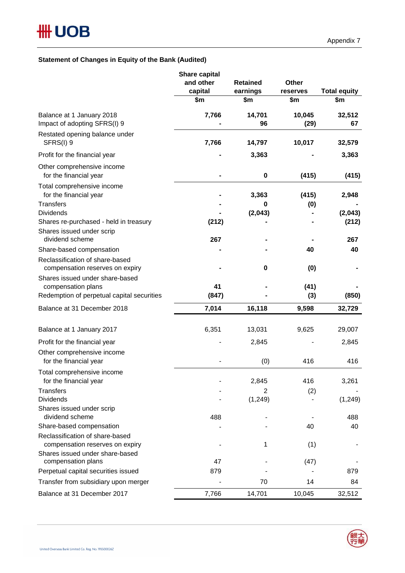## **Statement of Changes in Equity of the Bank (Audited)**

|                                                                    | Share capital  |                 |                 |                            |
|--------------------------------------------------------------------|----------------|-----------------|-----------------|----------------------------|
|                                                                    | and other      | <b>Retained</b> | Other           |                            |
|                                                                    | capital<br>\$m | earnings<br>\$m | reserves<br>\$m | <b>Total equity</b><br>\$m |
|                                                                    |                |                 |                 |                            |
| Balance at 1 January 2018<br>Impact of adopting SFRS(I) 9          | 7,766          | 14,701<br>96    | 10,045<br>(29)  | 32,512<br>67               |
| Restated opening balance under<br>SFRS(I) 9                        | 7,766          | 14,797          | 10,017          | 32,579                     |
| Profit for the financial year                                      |                | 3,363           |                 | 3,363                      |
| Other comprehensive income<br>for the financial year               |                | $\mathbf 0$     | (415)           | (415)                      |
| Total comprehensive income<br>for the financial year               |                | 3,363           | (415)           | 2,948                      |
| <b>Transfers</b>                                                   |                | $\bf{0}$        | (0)             |                            |
| <b>Dividends</b><br>Shares re-purchased - held in treasury         |                | (2,043)         |                 | (2,043)<br>(212)           |
| Shares issued under scrip                                          | (212)          |                 |                 |                            |
| dividend scheme                                                    | 267            |                 |                 | 267                        |
| Share-based compensation                                           |                |                 | 40              | 40                         |
| Reclassification of share-based<br>compensation reserves on expiry |                | $\bf{0}$        | (0)             |                            |
| Shares issued under share-based                                    |                |                 |                 |                            |
| compensation plans                                                 | 41             |                 | (41)            |                            |
| Redemption of perpetual capital securities                         | (847)          |                 | (3)             | (850)                      |
| Balance at 31 December 2018                                        | 7,014          | 16,118          | 9,598           | 32,729                     |
|                                                                    |                |                 |                 |                            |
| Balance at 1 January 2017                                          | 6,351          | 13,031          | 9,625           | 29,007                     |
| Profit for the financial year                                      |                | 2,845           |                 | 2,845                      |
| Other comprehensive income                                         |                |                 |                 |                            |
| for the financial year                                             |                | (0)             | 416             | 416                        |
| Total comprehensive income<br>for the financial year               |                | 2,845           | 416             | 3,261                      |
| <b>Transfers</b>                                                   |                | 2               | (2)             |                            |
| <b>Dividends</b>                                                   |                | (1, 249)        |                 | (1, 249)                   |
| Shares issued under scrip                                          |                |                 |                 |                            |
| dividend scheme                                                    | 488            |                 |                 | 488                        |
| Share-based compensation                                           |                |                 | 40              | 40                         |
| Reclassification of share-based<br>compensation reserves on expiry |                | 1               | (1)             |                            |
| Shares issued under share-based                                    |                |                 |                 |                            |
| compensation plans<br>Perpetual capital securities issued          | 47<br>879      |                 | (47)            | 879                        |
|                                                                    |                |                 |                 |                            |
| Transfer from subsidiary upon merger                               |                | 70              | 14              | 84                         |
| Balance at 31 December 2017                                        | 7,766          | 14,701          | 10,045          | 32,512                     |

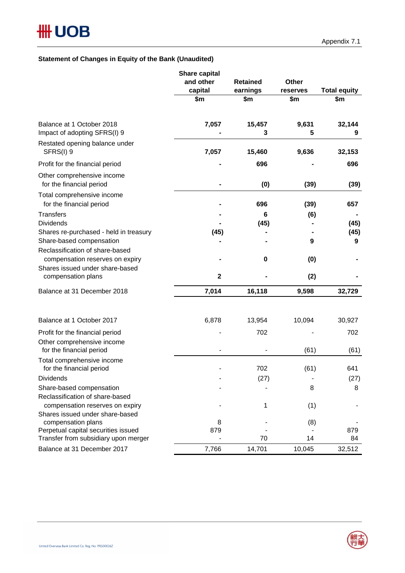## **Statement of Changes in Equity of the Bank (Unaudited)**

|                                                                                                       | <b>Share capital</b><br>and other<br>capital<br>\$m | <b>Retained</b><br>earnings<br>\$m | <b>Other</b><br>reserves<br>\$m | <b>Total equity</b><br>\$m |
|-------------------------------------------------------------------------------------------------------|-----------------------------------------------------|------------------------------------|---------------------------------|----------------------------|
| Balance at 1 October 2018<br>Impact of adopting SFRS(I) 9                                             | 7,057                                               | 15,457<br>3                        | 9,631<br>5                      | 32,144<br>9                |
| Restated opening balance under<br>SFRS(I) 9                                                           | 7,057                                               | 15,460                             | 9,636                           | 32,153                     |
| Profit for the financial period                                                                       |                                                     | 696                                |                                 | 696                        |
| Other comprehensive income<br>for the financial period                                                |                                                     | (0)                                | (39)                            | (39)                       |
| Total comprehensive income<br>for the financial period                                                |                                                     | 696                                | (39)                            | 657                        |
| <b>Transfers</b>                                                                                      |                                                     | 6                                  | (6)                             |                            |
| <b>Dividends</b>                                                                                      |                                                     | (45)                               |                                 | (45)                       |
| Shares re-purchased - held in treasury                                                                | (45)                                                |                                    |                                 | (45)                       |
| Share-based compensation                                                                              |                                                     |                                    | 9                               | 9                          |
| Reclassification of share-based<br>compensation reserves on expiry                                    |                                                     | 0                                  | (0)                             |                            |
| Shares issued under share-based<br>compensation plans                                                 | $\mathbf{2}$                                        |                                    | (2)                             |                            |
| Balance at 31 December 2018                                                                           | 7,014                                               | 16,118                             | 9,598                           | 32,729                     |
| Balance at 1 October 2017                                                                             | 6,878                                               | 13,954                             | 10,094                          | 30,927                     |
| Profit for the financial period                                                                       |                                                     | 702                                |                                 | 702                        |
| Other comprehensive income<br>for the financial period                                                |                                                     |                                    | (61)                            | (61)                       |
| Total comprehensive income<br>for the financial period                                                |                                                     | 702                                | (61)                            | 641                        |
| <b>Dividends</b>                                                                                      |                                                     | (27)                               |                                 | (27)                       |
| Share-based compensation                                                                              |                                                     |                                    | 8                               | 8                          |
| Reclassification of share-based<br>compensation reserves on expiry<br>Shares issued under share-based |                                                     | 1                                  | (1)                             |                            |
| compensation plans                                                                                    | 8                                                   |                                    | (8)                             |                            |
| Perpetual capital securities issued<br>Transfer from subsidiary upon merger                           | 879                                                 | 70                                 | 14                              | 879<br>84                  |
| Balance at 31 December 2017                                                                           | 7,766                                               | 14,701                             | 10,045                          | 32,512                     |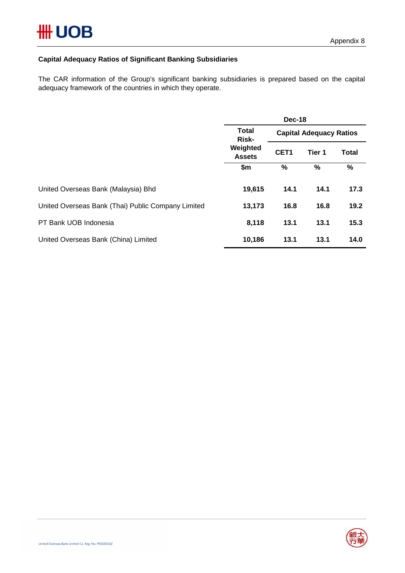## **Capital Adequacy Ratios of Significant Banking Subsidiaries**

The CAR information of the Group's significant banking subsidiaries is prepared based on the capital adequacy framework of the countries in which they operate.

|                                                    | <b>Dec-18</b>                |                                |        |              |  |
|----------------------------------------------------|------------------------------|--------------------------------|--------|--------------|--|
|                                                    | <b>Total</b><br><b>Risk-</b> | <b>Capital Adequacy Ratios</b> |        |              |  |
|                                                    | Weighted<br><b>Assets</b>    | CET <sub>1</sub>               | Tier 1 | <b>Total</b> |  |
|                                                    | \$m                          | %                              | %      | $\%$         |  |
| United Overseas Bank (Malaysia) Bhd                | 19,615                       | 14.1                           | 14.1   | 17.3         |  |
| United Overseas Bank (Thai) Public Company Limited | 13,173                       | 16.8                           | 16.8   | 19.2         |  |
| PT Bank UOB Indonesia                              | 8,118                        | 13.1                           | 13.1   | 15.3         |  |
| United Overseas Bank (China) Limited               | 10,186                       | 13.1                           | 13.1   | 14.0         |  |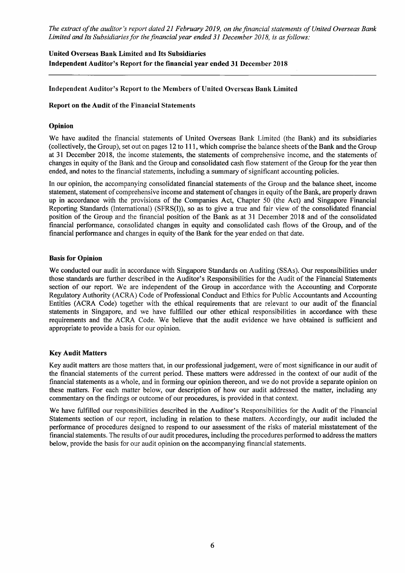The extract of the auditor's report dated 21 February 2019, on the financial statements of United Overseas Bank Limited and Its Subsidiaries for the financial year ended 31 December 2018, is as follows:

## United Overseas Bank Limited and Its Subsidiaries Independent Auditor's Report for the financial year ended 31 December 2018

## Independent Auditor's Report to the Members of United Overseas Bank Limited

### **Report on the Audit of the Financial Statements**

### Opinion

We have audited the financial statements of United Overseas Bank Limited (the Bank) and its subsidiaries (collectively, the Group), set out on pages 12 to 111, which comprise the balance sheets of the Bank and the Group at 31 December 2018, the income statements, the statements of comprehensive income, and the statements of changes in equity of the Bank and the Group and consolidated cash flow statement of the Group for the year then ended, and notes to the financial statements, including a summary of significant accounting policies.

In our opinion, the accompanying consolidated financial statements of the Group and the balance sheet, income statement, statement of comprehensive income and statement of changes in equity of the Bank, are properly drawn up in accordance with the provisions of the Companies Act, Chapter 50 (the Act) and Singapore Financial Reporting Standards (International) (SFRS(I)), so as to give a true and fair view of the consolidated financial position of the Group and the financial position of the Bank as at 31 December 2018 and of the consolidated financial performance, consolidated changes in equity and consolidated cash flows of the Group, and of the financial performance and changes in equity of the Bank for the year ended on that date.

### **Basis for Opinion**

We conducted our audit in accordance with Singapore Standards on Auditing (SSAs). Our responsibilities under those standards are further described in the Auditor's Responsibilities for the Audit of the Financial Statements section of our report. We are independent of the Group in accordance with the Accounting and Corporate Regulatory Authority (ACRA) Code of Professional Conduct and Ethics for Public Accountants and Accounting Entities (ACRA Code) together with the ethical requirements that are relevant to our audit of the financial statements in Singapore, and we have fulfilled our other ethical responsibilities in accordance with these requirements and the ACRA Code. We believe that the audit evidence we have obtained is sufficient and appropriate to provide a basis for our opinion.

### **Key Audit Matters**

Key audit matters are those matters that, in our professional judgement, were of most significance in our audit of the financial statements of the current period. These matters were addressed in the context of our audit of the financial statements as a whole, and in forming our opinion thereon, and we do not provide a separate opinion on these matters. For each matter below, our description of how our audit addressed the matter, including any commentary on the findings or outcome of our procedures, is provided in that context.

We have fulfilled our responsibilities described in the Auditor's Responsibilities for the Audit of the Financial Statements section of our report, including in relation to these matters. Accordingly, our audit included the performance of procedures designed to respond to our assessment of the risks of material misstatement of the financial statements. The results of our audit procedures, including the procedures performed to address the matters below, provide the basis for our audit opinion on the accompanying financial statements.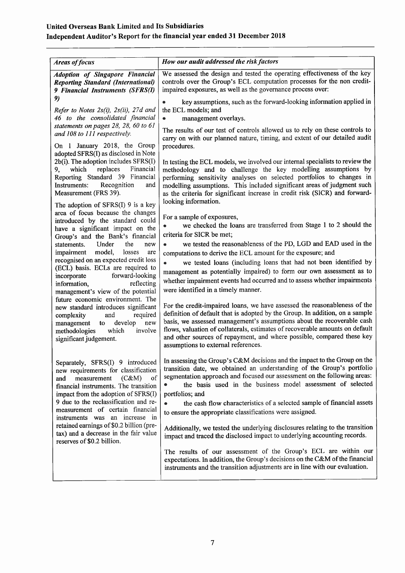| <b>Areas of focus</b>                                                                                                                                                                                                                                                                                       | How our audit addressed the risk factors                                                                                                                                                                                                                                                                                                                                                                                                                                                                                                                |
|-------------------------------------------------------------------------------------------------------------------------------------------------------------------------------------------------------------------------------------------------------------------------------------------------------------|---------------------------------------------------------------------------------------------------------------------------------------------------------------------------------------------------------------------------------------------------------------------------------------------------------------------------------------------------------------------------------------------------------------------------------------------------------------------------------------------------------------------------------------------------------|
| <b>Adoption of Singapore Financial</b><br><b>Reporting Standard (International)</b><br>9 Financial Instruments (SFRS(I)                                                                                                                                                                                     | We assessed the design and tested the operating effectiveness of the key<br>controls over the Group's ECL computation processes for the non credit-<br>impaired exposures, as well as the governance process over:                                                                                                                                                                                                                                                                                                                                      |
| 9)<br>Refer to Notes $2s(i)$ , $2s(ii)$ , $27d$ and<br>46 to the consolidated financial<br>statements on pages 28, 28, 60 to 61<br>and 108 to 111 respectively.                                                                                                                                             | key assumptions, such as the forward-looking information applied in<br>the ECL models; and<br>management overlays.<br>$\bullet$<br>The results of our test of controls allowed us to rely on these controls to<br>carry on with our planned nature, timing, and extent of our detailed audit                                                                                                                                                                                                                                                            |
| On 1 January 2018, the Group<br>adopted SFRS(I) as disclosed in Note<br>2b(i). The adoption includes SFRS(I)<br>replaces Financial<br>which<br>9,<br>Reporting Standard 39 Financial<br>Recognition<br>Instruments:<br>and<br>Measurement (FRS 39).                                                         | procedures.<br>In testing the ECL models, we involved our internal specialists to review the<br>methodology and to challenge the key modelling assumptions by<br>performing sensitivity analyses on selected portfolios to changes in<br>modelling assumptions. This included significant areas of judgment such<br>as the criteria for significant increase in credit risk (SICR) and forward-                                                                                                                                                         |
| The adoption of $SFRS(I)$ 9 is a key<br>area of focus because the changes<br>introduced by the standard could                                                                                                                                                                                               | looking information.<br>For a sample of exposures,                                                                                                                                                                                                                                                                                                                                                                                                                                                                                                      |
| have a significant impact on the<br>Group's and the Bank's financial<br>Under<br>the<br>statements.<br>new<br>model,<br>impairment<br>losses<br>are<br>recognised on an expected credit loss<br>(ECL) basis. ECLs are required to<br>forward-looking<br>incorporate                                         | we checked the loans are transferred from Stage 1 to 2 should the<br>criteria for SICR be met;<br>we tested the reasonableness of the PD, LGD and EAD used in the<br>computations to derive the ECL amount for the exposure; and<br>we tested loans (including loans that had not been identified by<br>management as potentially impaired) to form our own assessment as to                                                                                                                                                                            |
| reflecting<br>information,<br>management's view of the potential<br>future economic environment. The<br>new standard introduces significant<br>required<br>and<br>complexity<br>develop<br>new<br>management to<br>which<br>involve<br>methodologies<br>significant judgement.                              | whether impairment events had occurred and to assess whether impairments<br>were identified in a timely manner.<br>For the credit-impaired loans, we have assessed the reasonableness of the<br>definition of default that is adopted by the Group. In addition, on a sample<br>basis, we assessed management's assumptions about the recoverable cash<br>flows, valuation of collaterals, estimates of recoverable amounts on default<br>and other sources of repayment, and where possible, compared these key<br>assumptions to external references. |
| Separately, SFRS(I) 9 introduced<br>new requirements for classification<br>measurement<br>(C&M)<br>of<br>and<br>financial instruments. The transition<br>impact from the adoption of SFRS(I)<br>9 due to the reclassification and re-<br>measurement of certain financial<br>instruments was an increase in | In assessing the Group's C&M decisions and the impact to the Group on the<br>transition date, we obtained an understanding of the Group's portfolio<br>segmentation approach and focused our assessment on the following areas:<br>the basis used in the business model assessment of selected<br>portfolios; and<br>the cash flow characteristics of a selected sample of financial assets<br>to ensure the appropriate classifications were assigned.                                                                                                 |
| retained earnings of \$0.2 billion (pre-<br>tax) and a decrease in the fair value<br>reserves of \$0.2 billion.                                                                                                                                                                                             | Additionally, we tested the underlying disclosures relating to the transition<br>impact and traced the disclosed impact to underlying accounting records.<br>The results of our assessment of the Group's ECL are within our<br>expectations. In addition, the Group's decisions on the C&M of the financial<br>instruments and the transition adjustments are in line with our evaluation.                                                                                                                                                             |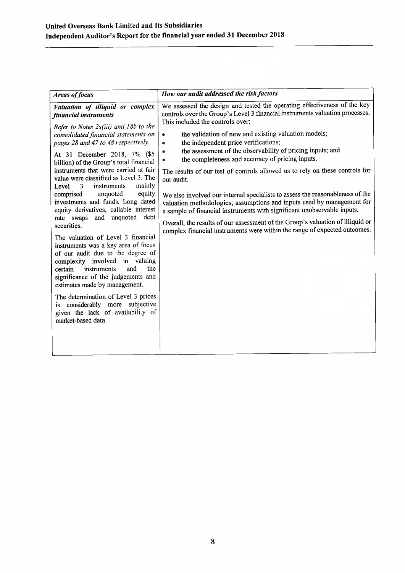$\mathbf{r}$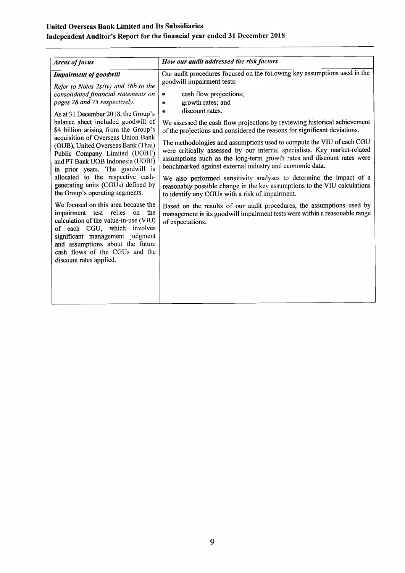| <b>Areas of focus</b>                                                                                                                                                                                                                                                                                                                                                                                                                                                                                                                                                                                                                                                                                                                                                                                                                                       | How our audit addressed the risk factors                                                                                                                                                                                                                                                                                                                                                                                                                                                                                                                                                                                                                                                                                                                                                                                                                                                                                                                                                                              |
|-------------------------------------------------------------------------------------------------------------------------------------------------------------------------------------------------------------------------------------------------------------------------------------------------------------------------------------------------------------------------------------------------------------------------------------------------------------------------------------------------------------------------------------------------------------------------------------------------------------------------------------------------------------------------------------------------------------------------------------------------------------------------------------------------------------------------------------------------------------|-----------------------------------------------------------------------------------------------------------------------------------------------------------------------------------------------------------------------------------------------------------------------------------------------------------------------------------------------------------------------------------------------------------------------------------------------------------------------------------------------------------------------------------------------------------------------------------------------------------------------------------------------------------------------------------------------------------------------------------------------------------------------------------------------------------------------------------------------------------------------------------------------------------------------------------------------------------------------------------------------------------------------|
| <b>Impairment of goodwill</b><br>Refer to Notes $2s(iv)$ and 36b to the<br>consolidated financial statements on<br>pages 28 and 75 respectively.<br>As at 31 December 2018, the Group's<br>balance sheet included goodwill of<br>\$4 billion arising from the Group's<br>acquisition of Overseas Union Bank<br>(OUB), United Overseas Bank (Thai)<br>Public Company Limited (UOBT)<br>and PT Bank UOB Indonesia (UOBI)<br>in prior years. The goodwill is<br>allocated to the respective cash-<br>generating units (CGUs) defined by<br>the Group's operating segments.<br>We focused on this area because the<br>impairment test relies on the<br>calculation of the value-in-use (VIU)<br>of each CGU, which involves<br>significant management judgment<br>and assumptions about the future<br>cash flows of the CGUs and the<br>discount rates applied. | Our audit procedures focused on the following key assumptions used in the<br>goodwill impairment tests:<br>cash flow projections;<br>growth rates; and<br>٠<br>discount rates.<br>We assessed the cash flow projections by reviewing historical achievement<br>of the projections and considered the reasons for significant deviations.<br>The methodologies and assumptions used to compute the VIU of each CGU<br>were critically assessed by our internal specialists. Key market-related<br>assumptions such as the long-term growth rates and discount rates were<br>benchmarked against external industry and economic data.<br>We also performed sensitivity analyses to determine the impact of a<br>reasonably possible change in the key assumptions to the VIU calculations<br>to identify any CGUs with a risk of impairment.<br>Based on the results of our audit procedures, the assumptions used by<br>management in its goodwill impairment tests were within a reasonable range<br>of expectations. |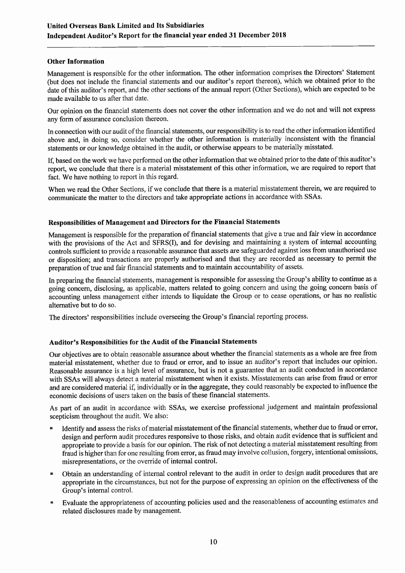## **Other Information**

Management is responsible for the other information. The other information comprises the Directors' Statement (but does not include the financial statements and our auditor's report thereon), which we obtained prior to the date of this auditor's report, and the other sections of the annual report (Other Sections), which are expected to be made available to us after that date.

Our opinion on the financial statements does not cover the other information and we do not and will not express any form of assurance conclusion thereon.

In connection with our audit of the financial statements, our responsibility is to read the other information identified above and, in doing so, consider whether the other information is materially inconsistent with the financial statements or our knowledge obtained in the audit, or otherwise appears to be materially misstated.

If, based on the work we have performed on the other information that we obtained prior to the date of this auditor's report, we conclude that there is a material misstatement of this other information, we are required to report that fact. We have nothing to report in this regard.

When we read the Other Sections, if we conclude that there is a material misstatement therein, we are required to communicate the matter to the directors and take appropriate actions in accordance with SSAs.

## Responsibilities of Management and Directors for the Financial Statements

Management is responsible for the preparation of financial statements that give a true and fair view in accordance with the provisions of the Act and SFRS(I), and for devising and maintaining a system of internal accounting controls sufficient to provide a reasonable assurance that assets are safeguarded against loss from unauthorised use or disposition: and transactions are properly authorised and that they are recorded as necessary to permit the preparation of true and fair financial statements and to maintain accountability of assets.

In preparing the financial statements, management is responsible for assessing the Group's ability to continue as a going concern, disclosing, as applicable, matters related to going concern and using the going concern basis of accounting unless management either intends to liquidate the Group or to cease operations, or has no realistic alternative but to do so.

The directors' responsibilities include overseeing the Group's financial reporting process.

## Auditor's Responsibilities for the Audit of the Financial Statements

Our objectives are to obtain reasonable assurance about whether the financial statements as a whole are free from material misstatement, whether due to fraud or error, and to issue an auditor's report that includes our opinion. Reasonable assurance is a high level of assurance, but is not a guarantee that an audit conducted in accordance with SSAs will always detect a material misstatement when it exists. Misstatements can arise from fraud or error and are considered material if, individually or in the aggregate, they could reasonably be expected to influence the economic decisions of users taken on the basis of these financial statements.

As part of an audit in accordance with SSAs, we exercise professional judgement and maintain professional scepticism throughout the audit. We also:

- Identify and assess the risks of material misstatement of the financial statements, whether due to fraud or error, design and perform audit procedures responsive to those risks, and obtain audit evidence that is sufficient and appropriate to provide a basis for our opinion. The risk of not detecting a material misstatement resulting from fraud is higher than for one resulting from error, as fraud may involve collusion, forgery, intentional omissions, misrepresentations, or the override of internal control.
- Obtain an understanding of internal control relevant to the audit in order to design audit procedures that are appropriate in the circumstances, but not for the purpose of expressing an opinion on the effectiveness of the Group's internal control.
- Evaluate the appropriateness of accounting policies used and the reasonableness of accounting estimates and  $\blacksquare$ related disclosures made by management.